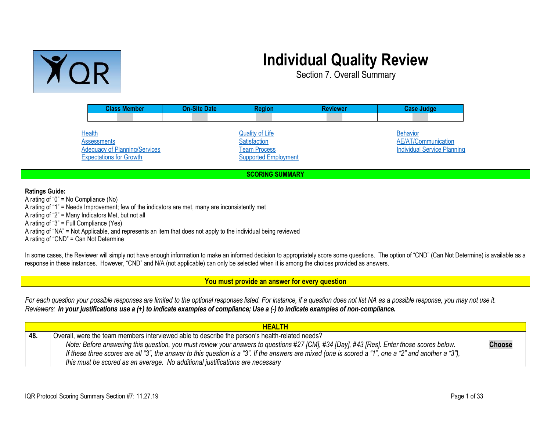

## **Individual Quality Review**

Section 7. Overall Summary

| <b>Class Member</b>                  | <b>On-Site Date</b> | <b>Region</b>                          | <b>Reviewer</b> | <b>Case Judge</b>                      |
|--------------------------------------|---------------------|----------------------------------------|-----------------|----------------------------------------|
|                                      |                     |                                        |                 |                                        |
| <b>Health</b><br><b>Assessments</b>  |                     | <b>Quality of Life</b><br>Satisfaction |                 | <b>Behavior</b><br>AE/AT/Communication |
| <b>Adequacy of Planning/Services</b> |                     | <b>Team Process</b>                    |                 | <b>Individual Service Planning</b>     |
| <b>Expectations for Growth</b>       |                     | <b>Supported Employment</b>            |                 |                                        |
| <b>SCORING SUMMARY</b>               |                     |                                        |                 |                                        |

**Ratings Guide:**

A rating of "0" = No Compliance (No) A rating of "1" = Needs Improvement; few of the indicators are met, many are inconsistently met A rating of "2" = Many Indicators Met, but not all A rating of "3" = Full Compliance (Yes) A rating of "NA" = Not Applicable, and represents an item that does not apply to the individual being reviewed A rating of "CND" = Can Not Determine

In some cases, the Reviewer will simply not have enough information to make an informed decision to appropriately score some questions. The option of "CND" (Can Not Determine) is available as a response in these instances. However, "CND" and N/A (not applicable) can only be selected when it is among the choices provided as answers.

<span id="page-0-1"></span>**You must provide an answer for every question**

For each question your possible responses are limited to the optional responses listed. For instance, if a question does not list NA as a possible response, you may not use it. Reviewers: In your justifications use a (+) to indicate examples of compliance; Use a (-) to indicate examples of non-compliance.

<span id="page-0-0"></span>

|     | <b>HEALTH</b>                                                                                                                                         |               |
|-----|-------------------------------------------------------------------------------------------------------------------------------------------------------|---------------|
| 48. | Overall, were the team members interviewed able to describe the person's health-related needs?                                                        |               |
|     | Note: Before answering this question, you must review your answers to questions #27 [CM], #34 [Day], #43 [Res]. Enter those scores below.             | <b>Choose</b> |
|     | If these three scores are all "3", the answer to this question is a "3". If the answers are mixed (one is scored a "1", one a "2" and another a "3"), |               |
|     | this must be scored as an average. No additional justifications are necessary                                                                         |               |
|     |                                                                                                                                                       |               |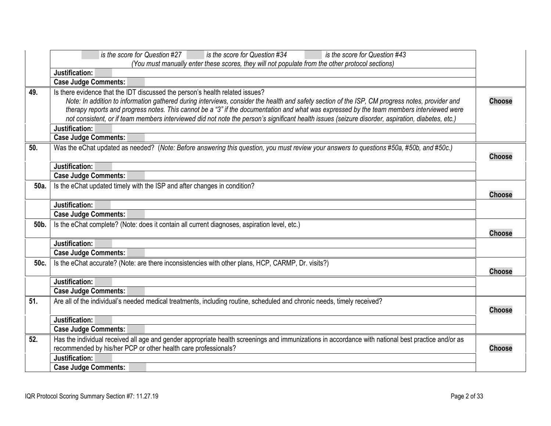<span id="page-1-6"></span><span id="page-1-5"></span><span id="page-1-4"></span><span id="page-1-3"></span><span id="page-1-2"></span><span id="page-1-1"></span><span id="page-1-0"></span>

|      | is the score for Question #34<br>is the score for Question #43<br>is the score for Question #27                                                                                                                                                                                                                                                                                                                                                                                                                                                                                    |               |
|------|------------------------------------------------------------------------------------------------------------------------------------------------------------------------------------------------------------------------------------------------------------------------------------------------------------------------------------------------------------------------------------------------------------------------------------------------------------------------------------------------------------------------------------------------------------------------------------|---------------|
|      | (You must manually enter these scores, they will not populate from the other protocol sections)                                                                                                                                                                                                                                                                                                                                                                                                                                                                                    |               |
|      | Justification:                                                                                                                                                                                                                                                                                                                                                                                                                                                                                                                                                                     |               |
|      | <b>Case Judge Comments:</b>                                                                                                                                                                                                                                                                                                                                                                                                                                                                                                                                                        |               |
| 49.  | Is there evidence that the IDT discussed the person's health related issues?<br>Note: In addition to information gathered during interviews, consider the health and safety section of the ISP, CM progress notes, provider and<br>therapy reports and progress notes. This cannot be a "3" if the documentation and what was expressed by the team members interviewed were<br>not consistent, or if team members interviewed did not note the person's significant health issues (seizure disorder, aspiration, diabetes, etc.)<br>Justification:<br><b>Case Judge Comments:</b> | <b>Choose</b> |
| 50.  |                                                                                                                                                                                                                                                                                                                                                                                                                                                                                                                                                                                    |               |
|      | Was the eChat updated as needed? (Note: Before answering this question, you must review your answers to questions #50a, #50b, and #50c.)                                                                                                                                                                                                                                                                                                                                                                                                                                           | <b>Choose</b> |
|      | Justification:                                                                                                                                                                                                                                                                                                                                                                                                                                                                                                                                                                     |               |
|      | <b>Case Judge Comments:</b>                                                                                                                                                                                                                                                                                                                                                                                                                                                                                                                                                        |               |
| 50a. | Is the eChat updated timely with the ISP and after changes in condition?                                                                                                                                                                                                                                                                                                                                                                                                                                                                                                           |               |
|      |                                                                                                                                                                                                                                                                                                                                                                                                                                                                                                                                                                                    | <b>Choose</b> |
|      | Justification:                                                                                                                                                                                                                                                                                                                                                                                                                                                                                                                                                                     |               |
|      | <b>Case Judge Comments:</b>                                                                                                                                                                                                                                                                                                                                                                                                                                                                                                                                                        |               |
| 50b. | Is the eChat complete? (Note: does it contain all current diagnoses, aspiration level, etc.)                                                                                                                                                                                                                                                                                                                                                                                                                                                                                       | <b>Choose</b> |
|      | Justification:                                                                                                                                                                                                                                                                                                                                                                                                                                                                                                                                                                     |               |
|      | <b>Case Judge Comments:</b>                                                                                                                                                                                                                                                                                                                                                                                                                                                                                                                                                        |               |
| 50c. | Is the eChat accurate? (Note: are there inconsistencies with other plans, HCP, CARMP, Dr. visits?)                                                                                                                                                                                                                                                                                                                                                                                                                                                                                 | <b>Choose</b> |
|      | Justification:                                                                                                                                                                                                                                                                                                                                                                                                                                                                                                                                                                     |               |
|      | <b>Case Judge Comments:</b>                                                                                                                                                                                                                                                                                                                                                                                                                                                                                                                                                        |               |
| 51.  | Are all of the individual's needed medical treatments, including routine, scheduled and chronic needs, timely received?                                                                                                                                                                                                                                                                                                                                                                                                                                                            | <b>Choose</b> |
|      | Justification:                                                                                                                                                                                                                                                                                                                                                                                                                                                                                                                                                                     |               |
|      | <b>Case Judge Comments:</b>                                                                                                                                                                                                                                                                                                                                                                                                                                                                                                                                                        |               |
| 52.  | Has the individual received all age and gender appropriate health screenings and immunizations in accordance with national best practice and/or as<br>recommended by his/her PCP or other health care professionals?                                                                                                                                                                                                                                                                                                                                                               | <b>Choose</b> |
|      | Justification:                                                                                                                                                                                                                                                                                                                                                                                                                                                                                                                                                                     |               |
|      | <b>Case Judge Comments:</b>                                                                                                                                                                                                                                                                                                                                                                                                                                                                                                                                                        |               |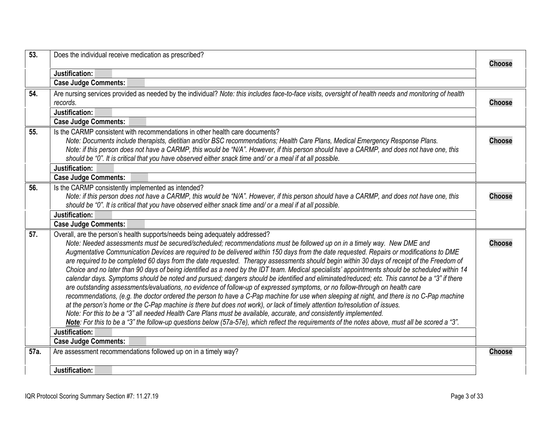<span id="page-2-5"></span><span id="page-2-4"></span><span id="page-2-3"></span><span id="page-2-2"></span><span id="page-2-1"></span><span id="page-2-0"></span>

| 53.  | Does the individual receive medication as prescribed?                                                                                                                                                                                                                                                                                                                                                                                                                                                                                                                                                                                                                                                                                                                                                                                                                                                                                                                                                                                                                                                                                                                                                                                                                                                                                                                                                                                                                                                        | <b>Choose</b> |
|------|--------------------------------------------------------------------------------------------------------------------------------------------------------------------------------------------------------------------------------------------------------------------------------------------------------------------------------------------------------------------------------------------------------------------------------------------------------------------------------------------------------------------------------------------------------------------------------------------------------------------------------------------------------------------------------------------------------------------------------------------------------------------------------------------------------------------------------------------------------------------------------------------------------------------------------------------------------------------------------------------------------------------------------------------------------------------------------------------------------------------------------------------------------------------------------------------------------------------------------------------------------------------------------------------------------------------------------------------------------------------------------------------------------------------------------------------------------------------------------------------------------------|---------------|
|      | Justification:                                                                                                                                                                                                                                                                                                                                                                                                                                                                                                                                                                                                                                                                                                                                                                                                                                                                                                                                                                                                                                                                                                                                                                                                                                                                                                                                                                                                                                                                                               |               |
|      | <b>Case Judge Comments:</b>                                                                                                                                                                                                                                                                                                                                                                                                                                                                                                                                                                                                                                                                                                                                                                                                                                                                                                                                                                                                                                                                                                                                                                                                                                                                                                                                                                                                                                                                                  |               |
| 54.  | Are nursing services provided as needed by the individual? Note: this includes face-to-face visits, oversight of health needs and monitoring of health<br>records.                                                                                                                                                                                                                                                                                                                                                                                                                                                                                                                                                                                                                                                                                                                                                                                                                                                                                                                                                                                                                                                                                                                                                                                                                                                                                                                                           | <b>Choose</b> |
|      | Justification:                                                                                                                                                                                                                                                                                                                                                                                                                                                                                                                                                                                                                                                                                                                                                                                                                                                                                                                                                                                                                                                                                                                                                                                                                                                                                                                                                                                                                                                                                               |               |
|      | <b>Case Judge Comments:</b>                                                                                                                                                                                                                                                                                                                                                                                                                                                                                                                                                                                                                                                                                                                                                                                                                                                                                                                                                                                                                                                                                                                                                                                                                                                                                                                                                                                                                                                                                  |               |
| 55.  | Is the CARMP consistent with recommendations in other health care documents?<br>Note: Documents include therapists, dietitian and/or BSC recommendations; Health Care Plans, Medical Emergency Response Plans.<br>Note: if this person does not have a CARMP, this would be "N/A". However, if this person should have a CARMP, and does not have one, this<br>should be "0". It is critical that you have observed either snack time and/ or a meal if at all possible.                                                                                                                                                                                                                                                                                                                                                                                                                                                                                                                                                                                                                                                                                                                                                                                                                                                                                                                                                                                                                                     | <b>Choose</b> |
|      | Justification:                                                                                                                                                                                                                                                                                                                                                                                                                                                                                                                                                                                                                                                                                                                                                                                                                                                                                                                                                                                                                                                                                                                                                                                                                                                                                                                                                                                                                                                                                               |               |
|      | <b>Case Judge Comments:</b>                                                                                                                                                                                                                                                                                                                                                                                                                                                                                                                                                                                                                                                                                                                                                                                                                                                                                                                                                                                                                                                                                                                                                                                                                                                                                                                                                                                                                                                                                  |               |
| 56.  | Is the CARMP consistently implemented as intended?<br>Note: if this person does not have a CARMP, this would be "N/A". However, if this person should have a CARMP, and does not have one, this<br>should be "0". It is critical that you have observed either snack time and/ or a meal if at all possible.                                                                                                                                                                                                                                                                                                                                                                                                                                                                                                                                                                                                                                                                                                                                                                                                                                                                                                                                                                                                                                                                                                                                                                                                 | <b>Choose</b> |
|      | Justification:                                                                                                                                                                                                                                                                                                                                                                                                                                                                                                                                                                                                                                                                                                                                                                                                                                                                                                                                                                                                                                                                                                                                                                                                                                                                                                                                                                                                                                                                                               |               |
|      | <b>Case Judge Comments:</b>                                                                                                                                                                                                                                                                                                                                                                                                                                                                                                                                                                                                                                                                                                                                                                                                                                                                                                                                                                                                                                                                                                                                                                                                                                                                                                                                                                                                                                                                                  |               |
| 57.  | Overall, are the person's health supports/needs being adequately addressed?<br>Note: Needed assessments must be secured/scheduled; recommendations must be followed up on in a timely way. New DME and<br>Augmentative Communication Devices are required to be delivered within 150 days from the date requested. Repairs or modifications to DME<br>are required to be completed 60 days from the date requested. Therapy assessments should begin within 30 days of receipt of the Freedom of<br>Choice and no later than 90 days of being identified as a need by the IDT team. Medical specialists' appointments should be scheduled within 14<br>calendar days. Symptoms should be noted and pursued; dangers should be identified and eliminated/reduced; etc. This cannot be a "3" if there<br>are outstanding assessments/evaluations, no evidence of follow-up of expressed symptoms, or no follow-through on health care<br>recommendations, (e.g. the doctor ordered the person to have a C-Pap machine for use when sleeping at night, and there is no C-Pap machine<br>at the person's home or the C-Pap machine is there but does not work), or lack of timely attention to/resolution of issues.<br>Note: For this to be a "3" all needed Health Care Plans must be available, accurate, and consistently implemented.<br>Note: For this to be a "3" the follow-up questions below (57a-57e), which reflect the requirements of the notes above, must all be scored a "3".<br>Justification: | <b>Choose</b> |
|      | <b>Case Judge Comments:</b>                                                                                                                                                                                                                                                                                                                                                                                                                                                                                                                                                                                                                                                                                                                                                                                                                                                                                                                                                                                                                                                                                                                                                                                                                                                                                                                                                                                                                                                                                  |               |
| 57a. | Are assessment recommendations followed up on in a timely way?                                                                                                                                                                                                                                                                                                                                                                                                                                                                                                                                                                                                                                                                                                                                                                                                                                                                                                                                                                                                                                                                                                                                                                                                                                                                                                                                                                                                                                               | <b>Choose</b> |
|      | Justification:                                                                                                                                                                                                                                                                                                                                                                                                                                                                                                                                                                                                                                                                                                                                                                                                                                                                                                                                                                                                                                                                                                                                                                                                                                                                                                                                                                                                                                                                                               |               |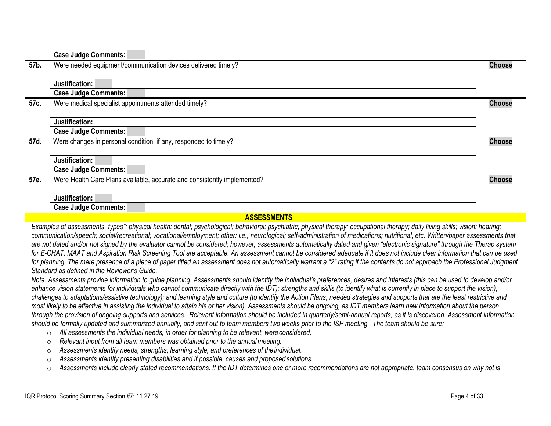<span id="page-3-4"></span><span id="page-3-3"></span><span id="page-3-2"></span><span id="page-3-1"></span><span id="page-3-0"></span>

|      | <b>Case Judge Comments:</b>                                                                                                                                                                                                                                                                                                                                                                                                                                                                                                                                                                                                                                                                                                                                                                                                                                                                                                                                                                                                                                                                                                                                                                                                                                                                                                                                                                                                                                                                  |               |
|------|----------------------------------------------------------------------------------------------------------------------------------------------------------------------------------------------------------------------------------------------------------------------------------------------------------------------------------------------------------------------------------------------------------------------------------------------------------------------------------------------------------------------------------------------------------------------------------------------------------------------------------------------------------------------------------------------------------------------------------------------------------------------------------------------------------------------------------------------------------------------------------------------------------------------------------------------------------------------------------------------------------------------------------------------------------------------------------------------------------------------------------------------------------------------------------------------------------------------------------------------------------------------------------------------------------------------------------------------------------------------------------------------------------------------------------------------------------------------------------------------|---------------|
| 57b. | Were needed equipment/communication devices delivered timely?                                                                                                                                                                                                                                                                                                                                                                                                                                                                                                                                                                                                                                                                                                                                                                                                                                                                                                                                                                                                                                                                                                                                                                                                                                                                                                                                                                                                                                | <b>Choose</b> |
|      | Justification:                                                                                                                                                                                                                                                                                                                                                                                                                                                                                                                                                                                                                                                                                                                                                                                                                                                                                                                                                                                                                                                                                                                                                                                                                                                                                                                                                                                                                                                                               |               |
|      | <b>Case Judge Comments:</b>                                                                                                                                                                                                                                                                                                                                                                                                                                                                                                                                                                                                                                                                                                                                                                                                                                                                                                                                                                                                                                                                                                                                                                                                                                                                                                                                                                                                                                                                  |               |
| 57c. | Were medical specialist appointments attended timely?                                                                                                                                                                                                                                                                                                                                                                                                                                                                                                                                                                                                                                                                                                                                                                                                                                                                                                                                                                                                                                                                                                                                                                                                                                                                                                                                                                                                                                        | <b>Choose</b> |
|      | Justification:                                                                                                                                                                                                                                                                                                                                                                                                                                                                                                                                                                                                                                                                                                                                                                                                                                                                                                                                                                                                                                                                                                                                                                                                                                                                                                                                                                                                                                                                               |               |
|      | <b>Case Judge Comments:</b>                                                                                                                                                                                                                                                                                                                                                                                                                                                                                                                                                                                                                                                                                                                                                                                                                                                                                                                                                                                                                                                                                                                                                                                                                                                                                                                                                                                                                                                                  |               |
| 57d. | Were changes in personal condition, if any, responded to timely?                                                                                                                                                                                                                                                                                                                                                                                                                                                                                                                                                                                                                                                                                                                                                                                                                                                                                                                                                                                                                                                                                                                                                                                                                                                                                                                                                                                                                             | <b>Choose</b> |
|      | Justification:                                                                                                                                                                                                                                                                                                                                                                                                                                                                                                                                                                                                                                                                                                                                                                                                                                                                                                                                                                                                                                                                                                                                                                                                                                                                                                                                                                                                                                                                               |               |
|      | <b>Case Judge Comments:</b>                                                                                                                                                                                                                                                                                                                                                                                                                                                                                                                                                                                                                                                                                                                                                                                                                                                                                                                                                                                                                                                                                                                                                                                                                                                                                                                                                                                                                                                                  |               |
| 57e. | Were Health Care Plans available, accurate and consistently implemented?                                                                                                                                                                                                                                                                                                                                                                                                                                                                                                                                                                                                                                                                                                                                                                                                                                                                                                                                                                                                                                                                                                                                                                                                                                                                                                                                                                                                                     | <b>Choose</b> |
|      | Justification:                                                                                                                                                                                                                                                                                                                                                                                                                                                                                                                                                                                                                                                                                                                                                                                                                                                                                                                                                                                                                                                                                                                                                                                                                                                                                                                                                                                                                                                                               |               |
|      | <b>Case Judge Comments:</b>                                                                                                                                                                                                                                                                                                                                                                                                                                                                                                                                                                                                                                                                                                                                                                                                                                                                                                                                                                                                                                                                                                                                                                                                                                                                                                                                                                                                                                                                  |               |
|      | <b>ASSESSMENTS</b>                                                                                                                                                                                                                                                                                                                                                                                                                                                                                                                                                                                                                                                                                                                                                                                                                                                                                                                                                                                                                                                                                                                                                                                                                                                                                                                                                                                                                                                                           |               |
|      | Examples of assessments "types": physical health; dental; psychological; behavioral; psychiatric; physical therapy; occupational therapy; daily living skills; vision; hearing;<br>communication/speech; social/recreational; vocational/employment; other: i.e., neurological; self-administration of medications; nutritional; etc. Written/paper assessments that<br>are not dated and/or not signed by the evaluator cannot be considered; however, assessments automatically dated and given "electronic signature" through the Therap system<br>for E-CHAT, MAAT and Aspiration Risk Screening Tool are acceptable. An assessment cannot be considered adequate if it does not include clear information that can be used<br>for planning. The mere presence of a piece of paper titled an assessment does not automatically warrant a "2" rating if the contents do not approach the Professional Judgment<br>Standard as defined in the Reviewer's Guide.                                                                                                                                                                                                                                                                                                                                                                                                                                                                                                                            |               |
|      | Note: Assessments provide information to guide planning. Assessments should identify the individual's preferences, desires and interests (this can be used to develop and/or<br>enhance vision statements for individuals who cannot communicate directly with the IDT): strengths and skills (to identify what is currently in place to support the vision);<br>challenges to adaptations/assistive technology); and learning style and culture (to identify the Action Plans, needed strategies and supports that are the least restrictive and<br>most likely to be effective in assisting the individual to attain his or her vision). Assessments should be ongoing, as IDT members learn new information about the person<br>through the provision of ongoing supports and services. Relevant information should be included in quarterly/semi-annual reports, as it is discovered. Assessment information<br>should be formally updated and summarized annually, and sent out to team members two weeks prior to the ISP meeting. The team should be sure:<br>All assessments the individual needs, in order for planning to be relevant, were considered.<br>$\circ$<br>Relevant input from all team members was obtained prior to the annual meeting.<br>$\circ$<br>Assessments identify needs, strengths, learning style, and preferences of the individual.<br>$\circ$<br>Assessments identify presenting disabilities and if possible, causes and proposed solutions.<br>$\circ$ |               |
|      | Assessments include clearly stated recommendations. If the IDT determines one or more recommendations are not appropriate, team consensus on why not is<br>$\circ$                                                                                                                                                                                                                                                                                                                                                                                                                                                                                                                                                                                                                                                                                                                                                                                                                                                                                                                                                                                                                                                                                                                                                                                                                                                                                                                           |               |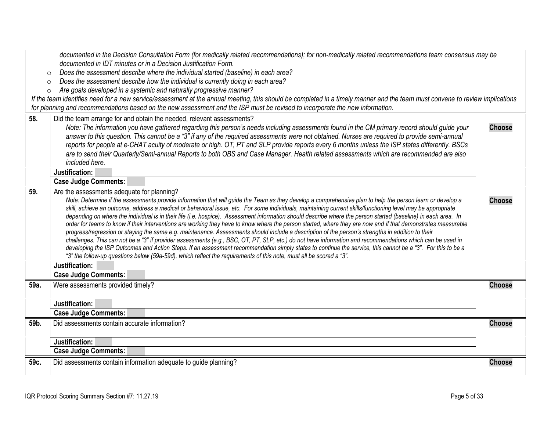<span id="page-4-4"></span><span id="page-4-3"></span><span id="page-4-2"></span><span id="page-4-1"></span><span id="page-4-0"></span>

|      | documented in the Decision Consultation Form (for medically related recommendations); for non-medically related recommendations team consensus may be                                                                                                                                                                                                                                                                                                                                                                                                                                                                                                                                                                                                                                                                                                                                                                                                                                                                                                                                                                                                                                                                                                                                                               |               |
|------|---------------------------------------------------------------------------------------------------------------------------------------------------------------------------------------------------------------------------------------------------------------------------------------------------------------------------------------------------------------------------------------------------------------------------------------------------------------------------------------------------------------------------------------------------------------------------------------------------------------------------------------------------------------------------------------------------------------------------------------------------------------------------------------------------------------------------------------------------------------------------------------------------------------------------------------------------------------------------------------------------------------------------------------------------------------------------------------------------------------------------------------------------------------------------------------------------------------------------------------------------------------------------------------------------------------------|---------------|
|      | documented in IDT minutes or in a Decision Justification Form.                                                                                                                                                                                                                                                                                                                                                                                                                                                                                                                                                                                                                                                                                                                                                                                                                                                                                                                                                                                                                                                                                                                                                                                                                                                      |               |
|      | Does the assessment describe where the individual started (baseline) in each area?<br>$\circ$                                                                                                                                                                                                                                                                                                                                                                                                                                                                                                                                                                                                                                                                                                                                                                                                                                                                                                                                                                                                                                                                                                                                                                                                                       |               |
|      | Does the assessment describe how the individual is currently doing in each area?<br>$\circ$                                                                                                                                                                                                                                                                                                                                                                                                                                                                                                                                                                                                                                                                                                                                                                                                                                                                                                                                                                                                                                                                                                                                                                                                                         |               |
|      | Are goals developed in a systemic and naturally progressive manner?<br>$\circ$                                                                                                                                                                                                                                                                                                                                                                                                                                                                                                                                                                                                                                                                                                                                                                                                                                                                                                                                                                                                                                                                                                                                                                                                                                      |               |
|      | If the team identifies need for a new service/assessment at the annual meeting, this should be completed in a timely manner and the team must convene to review implications                                                                                                                                                                                                                                                                                                                                                                                                                                                                                                                                                                                                                                                                                                                                                                                                                                                                                                                                                                                                                                                                                                                                        |               |
|      | for planning and recommendations based on the new assessment and the ISP must be revised to incorporate the new information.                                                                                                                                                                                                                                                                                                                                                                                                                                                                                                                                                                                                                                                                                                                                                                                                                                                                                                                                                                                                                                                                                                                                                                                        |               |
| 58.  | Did the team arrange for and obtain the needed, relevant assessments?<br>Note: The information you have gathered regarding this person's needs including assessments found in the CM primary record should guide your<br>answer to this question. This cannot be a "3" if any of the required assessments were not obtained. Nurses are required to provide semi-annual<br>reports for people at e-CHAT acuity of moderate or high. OT, PT and SLP provide reports every 6 months unless the ISP states differently. BSCs<br>are to send their Quarterly/Semi-annual Reports to both OBS and Case Manager. Health related assessments which are recommended are also<br>included here.                                                                                                                                                                                                                                                                                                                                                                                                                                                                                                                                                                                                                              | <b>Choose</b> |
|      | Justification:                                                                                                                                                                                                                                                                                                                                                                                                                                                                                                                                                                                                                                                                                                                                                                                                                                                                                                                                                                                                                                                                                                                                                                                                                                                                                                      |               |
|      | <b>Case Judge Comments:</b>                                                                                                                                                                                                                                                                                                                                                                                                                                                                                                                                                                                                                                                                                                                                                                                                                                                                                                                                                                                                                                                                                                                                                                                                                                                                                         |               |
| 59.  | Are the assessments adequate for planning?<br>Note: Determine if the assessments provide information that will guide the Team as they develop a comprehensive plan to help the person learn or develop a<br>skill, achieve an outcome, address a medical or behavioral issue, etc. For some individuals, maintaining current skills/functioning level may be appropriate<br>depending on where the individual is in their life (i.e. hospice). Assessment information should describe where the person started (baseline) in each area. In<br>order for teams to know if their interventions are working they have to know where the person started, where they are now and if that demonstrates measurable<br>progress/regression or staying the same e.g. maintenance. Assessments should include a description of the person's strengths in addition to their<br>challenges. This can not be a "3" if provider assessments (e.g., BSC, OT, PT, SLP, etc.) do not have information and recommendations which can be used in<br>developing the ISP Outcomes and Action Steps. If an assessment recommendation simply states to continue the service, this cannot be a "3". For this to be a<br>"3" the follow-up questions below (59a-59d), which reflect the requirements of this note, must all be scored a "3". | <b>Choose</b> |
|      | Justification:                                                                                                                                                                                                                                                                                                                                                                                                                                                                                                                                                                                                                                                                                                                                                                                                                                                                                                                                                                                                                                                                                                                                                                                                                                                                                                      |               |
|      | <b>Case Judge Comments:</b>                                                                                                                                                                                                                                                                                                                                                                                                                                                                                                                                                                                                                                                                                                                                                                                                                                                                                                                                                                                                                                                                                                                                                                                                                                                                                         |               |
| 59a. | Were assessments provided timely?<br>Justification:                                                                                                                                                                                                                                                                                                                                                                                                                                                                                                                                                                                                                                                                                                                                                                                                                                                                                                                                                                                                                                                                                                                                                                                                                                                                 | <b>Choose</b> |
|      | <b>Case Judge Comments:</b>                                                                                                                                                                                                                                                                                                                                                                                                                                                                                                                                                                                                                                                                                                                                                                                                                                                                                                                                                                                                                                                                                                                                                                                                                                                                                         |               |
|      |                                                                                                                                                                                                                                                                                                                                                                                                                                                                                                                                                                                                                                                                                                                                                                                                                                                                                                                                                                                                                                                                                                                                                                                                                                                                                                                     |               |
| 59b. | Did assessments contain accurate information?                                                                                                                                                                                                                                                                                                                                                                                                                                                                                                                                                                                                                                                                                                                                                                                                                                                                                                                                                                                                                                                                                                                                                                                                                                                                       | <b>Choose</b> |
|      | Justification:                                                                                                                                                                                                                                                                                                                                                                                                                                                                                                                                                                                                                                                                                                                                                                                                                                                                                                                                                                                                                                                                                                                                                                                                                                                                                                      |               |
|      | <b>Case Judge Comments:</b>                                                                                                                                                                                                                                                                                                                                                                                                                                                                                                                                                                                                                                                                                                                                                                                                                                                                                                                                                                                                                                                                                                                                                                                                                                                                                         |               |
| 59c. | Did assessments contain information adequate to guide planning?                                                                                                                                                                                                                                                                                                                                                                                                                                                                                                                                                                                                                                                                                                                                                                                                                                                                                                                                                                                                                                                                                                                                                                                                                                                     | <b>Choose</b> |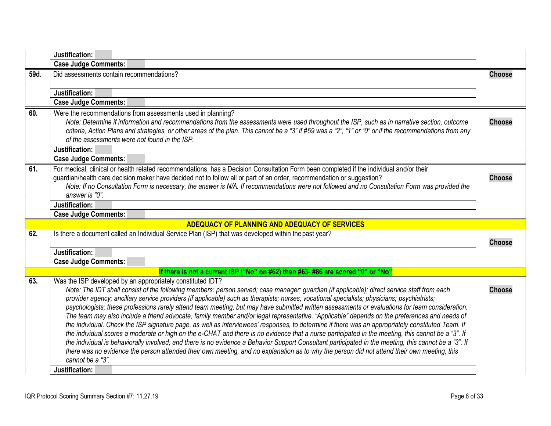<span id="page-5-5"></span><span id="page-5-4"></span><span id="page-5-3"></span><span id="page-5-2"></span><span id="page-5-1"></span><span id="page-5-0"></span>

|      | Justification:                                                                                                                                                                                                                                                                                                                                                                                                                                                                                                                                                                                                                                                                                                                                                                                                                                                                                                                                                                                                                                                                                                                                                                                                                                                                                    |               |
|------|---------------------------------------------------------------------------------------------------------------------------------------------------------------------------------------------------------------------------------------------------------------------------------------------------------------------------------------------------------------------------------------------------------------------------------------------------------------------------------------------------------------------------------------------------------------------------------------------------------------------------------------------------------------------------------------------------------------------------------------------------------------------------------------------------------------------------------------------------------------------------------------------------------------------------------------------------------------------------------------------------------------------------------------------------------------------------------------------------------------------------------------------------------------------------------------------------------------------------------------------------------------------------------------------------|---------------|
|      | <b>Case Judge Comments:</b>                                                                                                                                                                                                                                                                                                                                                                                                                                                                                                                                                                                                                                                                                                                                                                                                                                                                                                                                                                                                                                                                                                                                                                                                                                                                       |               |
| 59d. | Did assessments contain recommendations?                                                                                                                                                                                                                                                                                                                                                                                                                                                                                                                                                                                                                                                                                                                                                                                                                                                                                                                                                                                                                                                                                                                                                                                                                                                          | <b>Choose</b> |
|      | Justification:                                                                                                                                                                                                                                                                                                                                                                                                                                                                                                                                                                                                                                                                                                                                                                                                                                                                                                                                                                                                                                                                                                                                                                                                                                                                                    |               |
|      | <b>Case Judge Comments:</b>                                                                                                                                                                                                                                                                                                                                                                                                                                                                                                                                                                                                                                                                                                                                                                                                                                                                                                                                                                                                                                                                                                                                                                                                                                                                       |               |
| 60.  | Were the recommendations from assessments used in planning?<br>Note: Determine if information and recommendations from the assessments were used throughout the ISP, such as in narrative section, outcome<br>criteria, Action Plans and strategies, or other areas of the plan. This cannot be a "3" if #59 was a "2", "1" or "0" or if the recommendations from any<br>of the assessments were not found in the ISP.                                                                                                                                                                                                                                                                                                                                                                                                                                                                                                                                                                                                                                                                                                                                                                                                                                                                            | <b>Choose</b> |
|      | Justification:                                                                                                                                                                                                                                                                                                                                                                                                                                                                                                                                                                                                                                                                                                                                                                                                                                                                                                                                                                                                                                                                                                                                                                                                                                                                                    |               |
|      | <b>Case Judge Comments:</b>                                                                                                                                                                                                                                                                                                                                                                                                                                                                                                                                                                                                                                                                                                                                                                                                                                                                                                                                                                                                                                                                                                                                                                                                                                                                       |               |
| 61.  | For medical, clinical or health related recommendations, has a Decision Consultation Form been completed if the individual and/or their<br>guardian/health care decision maker have decided not to follow all or part of an order, recommendation or suggestion?<br>Note: If no Consultation Form is necessary, the answer is N/A. If recommendations were not followed and no Consultation Form was provided the<br>answer is "0".                                                                                                                                                                                                                                                                                                                                                                                                                                                                                                                                                                                                                                                                                                                                                                                                                                                               | <b>Choose</b> |
|      | Justification:                                                                                                                                                                                                                                                                                                                                                                                                                                                                                                                                                                                                                                                                                                                                                                                                                                                                                                                                                                                                                                                                                                                                                                                                                                                                                    |               |
|      | <b>Case Judge Comments:</b>                                                                                                                                                                                                                                                                                                                                                                                                                                                                                                                                                                                                                                                                                                                                                                                                                                                                                                                                                                                                                                                                                                                                                                                                                                                                       |               |
|      | ADEQUACY OF PLANNING AND ADEQUACY OF SERVICES                                                                                                                                                                                                                                                                                                                                                                                                                                                                                                                                                                                                                                                                                                                                                                                                                                                                                                                                                                                                                                                                                                                                                                                                                                                     |               |
| 62.  | Is there a document called an Individual Service Plan (ISP) that was developed within the past year?                                                                                                                                                                                                                                                                                                                                                                                                                                                                                                                                                                                                                                                                                                                                                                                                                                                                                                                                                                                                                                                                                                                                                                                              | <b>Choose</b> |
|      | Justification:                                                                                                                                                                                                                                                                                                                                                                                                                                                                                                                                                                                                                                                                                                                                                                                                                                                                                                                                                                                                                                                                                                                                                                                                                                                                                    |               |
|      | <b>Case Judge Comments:</b>                                                                                                                                                                                                                                                                                                                                                                                                                                                                                                                                                                                                                                                                                                                                                                                                                                                                                                                                                                                                                                                                                                                                                                                                                                                                       |               |
|      | If there is not a current ISP ("No" on #62) then #63- #86 are scored "0" or "No"                                                                                                                                                                                                                                                                                                                                                                                                                                                                                                                                                                                                                                                                                                                                                                                                                                                                                                                                                                                                                                                                                                                                                                                                                  |               |
| 63.  | Was the ISP developed by an appropriately constituted IDT?<br>Note: The IDT shall consist of the following members: person served; case manager; guardian (if applicable); direct service staff from each<br>provider agency; ancillary service providers (if applicable) such as therapists; nurses; vocational specialists; physicians; psychiatrists;<br>psychologists; these professions rarely attend team meeting, but may have submitted written assessments or evaluations for team consideration.<br>The team may also include a friend advocate, family member and/or legal representative. "Applicable" depends on the preferences and needs of<br>the individual. Check the ISP signature page, as well as interviewees' responses, to determine if there was an appropriately constituted Team. If<br>the individual scores a moderate or high on the e-CHAT and there is no evidence that a nurse participated in the meeting, this cannot be a "3". If<br>the individual is behaviorally involved, and there is no evidence a Behavior Support Consultant participated in the meeting, this cannot be a "3". If<br>there was no evidence the person attended their own meeting, and no explanation as to why the person did not attend their own meeting, this<br>cannot be a "3". | <b>Choose</b> |
|      | Justification:                                                                                                                                                                                                                                                                                                                                                                                                                                                                                                                                                                                                                                                                                                                                                                                                                                                                                                                                                                                                                                                                                                                                                                                                                                                                                    |               |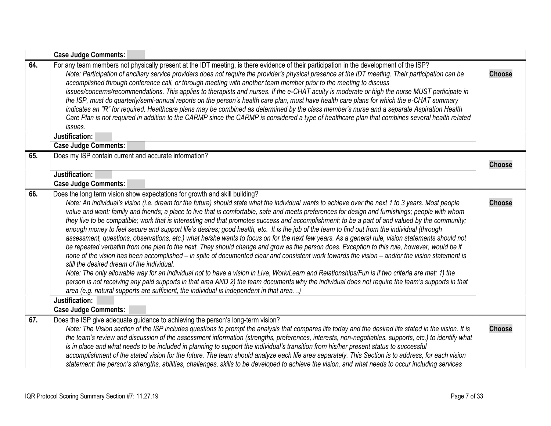<span id="page-6-3"></span><span id="page-6-2"></span><span id="page-6-1"></span><span id="page-6-0"></span>

|     | <b>Case Judge Comments:</b>                                                                                                                                                                                                                                                                                                                                                                                                                                                                                                                                                                                                                                                                                                                                                                                                                                                                                                                                                                                                                                                                                                                                                                                                                                                                                                                                                                                                                                                                                                                                                                     |               |
|-----|-------------------------------------------------------------------------------------------------------------------------------------------------------------------------------------------------------------------------------------------------------------------------------------------------------------------------------------------------------------------------------------------------------------------------------------------------------------------------------------------------------------------------------------------------------------------------------------------------------------------------------------------------------------------------------------------------------------------------------------------------------------------------------------------------------------------------------------------------------------------------------------------------------------------------------------------------------------------------------------------------------------------------------------------------------------------------------------------------------------------------------------------------------------------------------------------------------------------------------------------------------------------------------------------------------------------------------------------------------------------------------------------------------------------------------------------------------------------------------------------------------------------------------------------------------------------------------------------------|---------------|
| 64. | For any team members not physically present at the IDT meeting, is there evidence of their participation in the development of the ISP?<br>Note: Participation of ancillary service providers does not require the provider's physical presence at the IDT meeting. Their participation can be<br>accomplished through conference call, or through meeting with another team member prior to the meeting to discuss<br>issues/concerns/recommendations. This applies to therapists and nurses. If the e-CHAT acuity is moderate or high the nurse MUST participate in<br>the ISP, must do quarterly/semi-annual reports on the person's health care plan, must have health care plans for which the e-CHAT summary<br>indicates an "R" for required. Healthcare plans may be combined as determined by the class member's nurse and a separate Aspiration Health<br>Care Plan is not required in addition to the CARMP since the CARMP is considered a type of healthcare plan that combines several health related<br>issues.<br>Justification:<br><b>Case Judge Comments:</b>                                                                                                                                                                                                                                                                                                                                                                                                                                                                                                                 | <b>Choose</b> |
| 65. | Does my ISP contain current and accurate information?                                                                                                                                                                                                                                                                                                                                                                                                                                                                                                                                                                                                                                                                                                                                                                                                                                                                                                                                                                                                                                                                                                                                                                                                                                                                                                                                                                                                                                                                                                                                           |               |
|     |                                                                                                                                                                                                                                                                                                                                                                                                                                                                                                                                                                                                                                                                                                                                                                                                                                                                                                                                                                                                                                                                                                                                                                                                                                                                                                                                                                                                                                                                                                                                                                                                 | <b>Choose</b> |
|     | Justification:                                                                                                                                                                                                                                                                                                                                                                                                                                                                                                                                                                                                                                                                                                                                                                                                                                                                                                                                                                                                                                                                                                                                                                                                                                                                                                                                                                                                                                                                                                                                                                                  |               |
|     | <b>Case Judge Comments:</b>                                                                                                                                                                                                                                                                                                                                                                                                                                                                                                                                                                                                                                                                                                                                                                                                                                                                                                                                                                                                                                                                                                                                                                                                                                                                                                                                                                                                                                                                                                                                                                     |               |
| 66. | Does the long term vision show expectations for growth and skill building?<br>Note: An individual's vision (i.e. dream for the future) should state what the individual wants to achieve over the next 1 to 3 years. Most people<br>value and want: family and friends; a place to live that is comfortable, safe and meets preferences for design and furnishings; people with whom<br>they live to be compatible; work that is interesting and that promotes success and accomplishment; to be a part of and valued by the community;<br>enough money to feel secure and support life's desires; good health, etc. It is the job of the team to find out from the individual (through<br>assessment, questions, observations, etc.) what he/she wants to focus on for the next few years. As a general rule, vision statements should not<br>be repeated verbatim from one plan to the next. They should change and grow as the person does. Exception to this rule, however, would be if<br>none of the vision has been accomplished – in spite of documented clear and consistent work towards the vision – and/or the vision statement is<br>still the desired dream of the individual.<br>Note: The only allowable way for an individual not to have a vision in Live, Work/Learn and Relationships/Fun is if two criteria are met: 1) the<br>person is not receiving any paid supports in that area AND 2) the team documents why the individual does not require the team's supports in that<br>area (e.g. natural supports are sufficient, the individual is independent in that area) | <b>Choose</b> |
|     | Justification:<br><b>Case Judge Comments:</b>                                                                                                                                                                                                                                                                                                                                                                                                                                                                                                                                                                                                                                                                                                                                                                                                                                                                                                                                                                                                                                                                                                                                                                                                                                                                                                                                                                                                                                                                                                                                                   |               |
| 67. | Does the ISP give adequate guidance to achieving the person's long-term vision?<br>Note: The Vision section of the ISP includes questions to prompt the analysis that compares life today and the desired life stated in the vision. It is<br>the team's review and discussion of the assessment information (strengths, preferences, interests, non-negotiables, supports, etc.) to identify what<br>is in place and what needs to be included in planning to support the individual's transition from his/her present status to successful<br>accomplishment of the stated vision for the future. The team should analyze each life area separately. This Section is to address, for each vision<br>statement: the person's strengths, abilities, challenges, skills to be developed to achieve the vision, and what needs to occur including services                                                                                                                                                                                                                                                                                                                                                                                                                                                                                                                                                                                                                                                                                                                                        | <b>Choose</b> |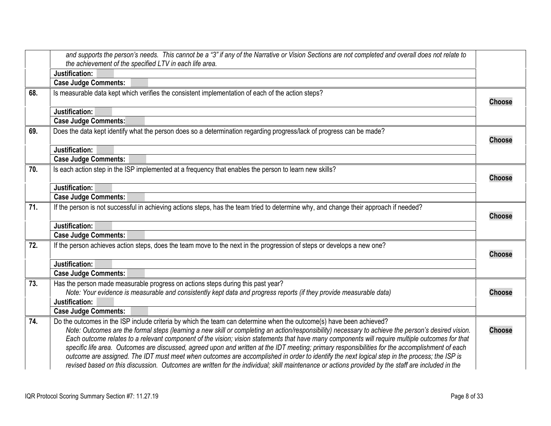<span id="page-7-6"></span><span id="page-7-5"></span><span id="page-7-4"></span><span id="page-7-3"></span><span id="page-7-2"></span><span id="page-7-1"></span><span id="page-7-0"></span>

|     | and supports the person's needs. This cannot be a "3" if any of the Narrative or Vision Sections are not completed and overall does not relate to                                                                                                                                                                                                                                                                                                                                                                                                                                                                                                                                                                                                                                                                                                                                     |               |
|-----|---------------------------------------------------------------------------------------------------------------------------------------------------------------------------------------------------------------------------------------------------------------------------------------------------------------------------------------------------------------------------------------------------------------------------------------------------------------------------------------------------------------------------------------------------------------------------------------------------------------------------------------------------------------------------------------------------------------------------------------------------------------------------------------------------------------------------------------------------------------------------------------|---------------|
|     | the achievement of the specified LTV in each life area.                                                                                                                                                                                                                                                                                                                                                                                                                                                                                                                                                                                                                                                                                                                                                                                                                               |               |
|     | Justification:                                                                                                                                                                                                                                                                                                                                                                                                                                                                                                                                                                                                                                                                                                                                                                                                                                                                        |               |
|     | <b>Case Judge Comments:</b>                                                                                                                                                                                                                                                                                                                                                                                                                                                                                                                                                                                                                                                                                                                                                                                                                                                           |               |
| 68. | Is measurable data kept which verifies the consistent implementation of each of the action steps?                                                                                                                                                                                                                                                                                                                                                                                                                                                                                                                                                                                                                                                                                                                                                                                     | <b>Choose</b> |
|     | Justification:                                                                                                                                                                                                                                                                                                                                                                                                                                                                                                                                                                                                                                                                                                                                                                                                                                                                        |               |
|     | <b>Case Judge Comments:</b>                                                                                                                                                                                                                                                                                                                                                                                                                                                                                                                                                                                                                                                                                                                                                                                                                                                           |               |
| 69. | Does the data kept identify what the person does so a determination regarding progress/lack of progress can be made?                                                                                                                                                                                                                                                                                                                                                                                                                                                                                                                                                                                                                                                                                                                                                                  | <b>Choose</b> |
|     | Justification:                                                                                                                                                                                                                                                                                                                                                                                                                                                                                                                                                                                                                                                                                                                                                                                                                                                                        |               |
|     | <b>Case Judge Comments:</b>                                                                                                                                                                                                                                                                                                                                                                                                                                                                                                                                                                                                                                                                                                                                                                                                                                                           |               |
| 70. | Is each action step in the ISP implemented at a frequency that enables the person to learn new skills?                                                                                                                                                                                                                                                                                                                                                                                                                                                                                                                                                                                                                                                                                                                                                                                | <b>Choose</b> |
|     | Justification:                                                                                                                                                                                                                                                                                                                                                                                                                                                                                                                                                                                                                                                                                                                                                                                                                                                                        |               |
|     | <b>Case Judge Comments:</b>                                                                                                                                                                                                                                                                                                                                                                                                                                                                                                                                                                                                                                                                                                                                                                                                                                                           |               |
| 71. | If the person is not successful in achieving actions steps, has the team tried to determine why, and change their approach if needed?                                                                                                                                                                                                                                                                                                                                                                                                                                                                                                                                                                                                                                                                                                                                                 | <b>Choose</b> |
|     | Justification:                                                                                                                                                                                                                                                                                                                                                                                                                                                                                                                                                                                                                                                                                                                                                                                                                                                                        |               |
|     | <b>Case Judge Comments:</b>                                                                                                                                                                                                                                                                                                                                                                                                                                                                                                                                                                                                                                                                                                                                                                                                                                                           |               |
| 72. | If the person achieves action steps, does the team move to the next in the progression of steps or develops a new one?                                                                                                                                                                                                                                                                                                                                                                                                                                                                                                                                                                                                                                                                                                                                                                | <b>Choose</b> |
|     | Justification:                                                                                                                                                                                                                                                                                                                                                                                                                                                                                                                                                                                                                                                                                                                                                                                                                                                                        |               |
|     | <b>Case Judge Comments:</b>                                                                                                                                                                                                                                                                                                                                                                                                                                                                                                                                                                                                                                                                                                                                                                                                                                                           |               |
| 73. | Has the person made measurable progress on actions steps during this past year?                                                                                                                                                                                                                                                                                                                                                                                                                                                                                                                                                                                                                                                                                                                                                                                                       |               |
|     | Note: Your evidence is measurable and consistently kept data and progress reports (if they provide measurable data)                                                                                                                                                                                                                                                                                                                                                                                                                                                                                                                                                                                                                                                                                                                                                                   | <b>Choose</b> |
|     | Justification:                                                                                                                                                                                                                                                                                                                                                                                                                                                                                                                                                                                                                                                                                                                                                                                                                                                                        |               |
|     | <b>Case Judge Comments:</b>                                                                                                                                                                                                                                                                                                                                                                                                                                                                                                                                                                                                                                                                                                                                                                                                                                                           |               |
| 74. | Do the outcomes in the ISP include criteria by which the team can determine when the outcome(s) have been achieved?<br>Note: Outcomes are the formal steps (learning a new skill or completing an action/responsibility) necessary to achieve the person's desired vision.<br>Each outcome relates to a relevant component of the vision; vision statements that have many components will require multiple outcomes for that<br>specific life area. Outcomes are discussed, agreed upon and written at the IDT meeting; primary responsibilities for the accomplishment of each<br>outcome are assigned. The IDT must meet when outcomes are accomplished in order to identify the next logical step in the process; the ISP is<br>revised based on this discussion. Outcomes are written for the individual; skill maintenance or actions provided by the staff are included in the | <b>Choose</b> |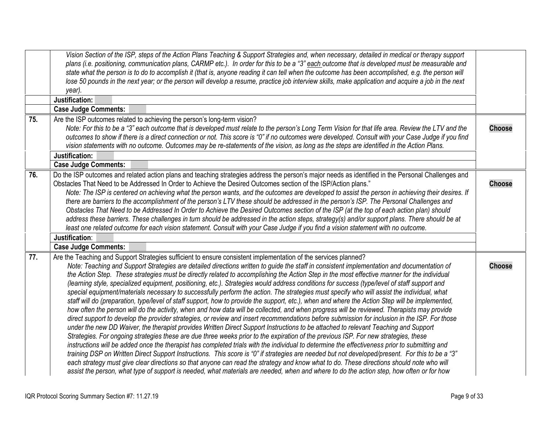<span id="page-8-2"></span><span id="page-8-1"></span><span id="page-8-0"></span>

|     | Vision Section of the ISP, steps of the Action Plans Teaching & Support Strategies and, when necessary, detailed in medical or therapy support<br>plans (i.e. positioning, communication plans, CARMP etc.). In order for this to be a "3" each outcome that is developed must be measurable and                                                                                                                                                                                                                                                                                                                                                                                                                                                                                                                                                                                                                                                                                                                                                                                                                                                             |               |
|-----|--------------------------------------------------------------------------------------------------------------------------------------------------------------------------------------------------------------------------------------------------------------------------------------------------------------------------------------------------------------------------------------------------------------------------------------------------------------------------------------------------------------------------------------------------------------------------------------------------------------------------------------------------------------------------------------------------------------------------------------------------------------------------------------------------------------------------------------------------------------------------------------------------------------------------------------------------------------------------------------------------------------------------------------------------------------------------------------------------------------------------------------------------------------|---------------|
|     | state what the person is to do to accomplish it (that is, anyone reading it can tell when the outcome has been accomplished, e.g. the person will                                                                                                                                                                                                                                                                                                                                                                                                                                                                                                                                                                                                                                                                                                                                                                                                                                                                                                                                                                                                            |               |
|     | lose 50 pounds in the next year; or the person will develop a resume, practice job interview skills, make application and acquire a job in the next                                                                                                                                                                                                                                                                                                                                                                                                                                                                                                                                                                                                                                                                                                                                                                                                                                                                                                                                                                                                          |               |
|     | year).                                                                                                                                                                                                                                                                                                                                                                                                                                                                                                                                                                                                                                                                                                                                                                                                                                                                                                                                                                                                                                                                                                                                                       |               |
|     | Justification:                                                                                                                                                                                                                                                                                                                                                                                                                                                                                                                                                                                                                                                                                                                                                                                                                                                                                                                                                                                                                                                                                                                                               |               |
|     | <b>Case Judge Comments:</b>                                                                                                                                                                                                                                                                                                                                                                                                                                                                                                                                                                                                                                                                                                                                                                                                                                                                                                                                                                                                                                                                                                                                  |               |
| 75. | Are the ISP outcomes related to achieving the person's long-term vision?                                                                                                                                                                                                                                                                                                                                                                                                                                                                                                                                                                                                                                                                                                                                                                                                                                                                                                                                                                                                                                                                                     |               |
|     | Note: For this to be a "3" each outcome that is developed must relate to the person's Long Term Vision for that life area. Review the LTV and the                                                                                                                                                                                                                                                                                                                                                                                                                                                                                                                                                                                                                                                                                                                                                                                                                                                                                                                                                                                                            | <b>Choose</b> |
|     | outcomes to show if there is a direct connection or not. This score is "0" if no outcomes were developed. Consult with your Case Judge if you find                                                                                                                                                                                                                                                                                                                                                                                                                                                                                                                                                                                                                                                                                                                                                                                                                                                                                                                                                                                                           |               |
|     | vision statements with no outcome. Outcomes may be re-statements of the vision, as long as the steps are identified in the Action Plans.                                                                                                                                                                                                                                                                                                                                                                                                                                                                                                                                                                                                                                                                                                                                                                                                                                                                                                                                                                                                                     |               |
|     | Justification:                                                                                                                                                                                                                                                                                                                                                                                                                                                                                                                                                                                                                                                                                                                                                                                                                                                                                                                                                                                                                                                                                                                                               |               |
|     | <b>Case Judge Comments:</b>                                                                                                                                                                                                                                                                                                                                                                                                                                                                                                                                                                                                                                                                                                                                                                                                                                                                                                                                                                                                                                                                                                                                  |               |
| 76. | Do the ISP outcomes and related action plans and teaching strategies address the person's major needs as identified in the Personal Challenges and<br>Obstacles That Need to be Addressed In Order to Achieve the Desired Outcomes section of the ISP/Action plans."                                                                                                                                                                                                                                                                                                                                                                                                                                                                                                                                                                                                                                                                                                                                                                                                                                                                                         | <b>Choose</b> |
|     | Note: The ISP is centered on achieving what the person wants, and the outcomes are developed to assist the person in achieving their desires. If                                                                                                                                                                                                                                                                                                                                                                                                                                                                                                                                                                                                                                                                                                                                                                                                                                                                                                                                                                                                             |               |
|     | there are barriers to the accomplishment of the person's LTV these should be addressed in the person's ISP. The Personal Challenges and                                                                                                                                                                                                                                                                                                                                                                                                                                                                                                                                                                                                                                                                                                                                                                                                                                                                                                                                                                                                                      |               |
|     | Obstacles That Need to be Addressed In Order to Achieve the Desired Outcomes section of the ISP (at the top of each action plan) should                                                                                                                                                                                                                                                                                                                                                                                                                                                                                                                                                                                                                                                                                                                                                                                                                                                                                                                                                                                                                      |               |
|     | address these barriers. These challenges in turn should be addressed in the action steps, strategy(s) and/or support plans. There should be at                                                                                                                                                                                                                                                                                                                                                                                                                                                                                                                                                                                                                                                                                                                                                                                                                                                                                                                                                                                                               |               |
|     | least one related outcome for each vision statement. Consult with your Case Judge if you find a vision statement with no outcome.                                                                                                                                                                                                                                                                                                                                                                                                                                                                                                                                                                                                                                                                                                                                                                                                                                                                                                                                                                                                                            |               |
|     | Justification:                                                                                                                                                                                                                                                                                                                                                                                                                                                                                                                                                                                                                                                                                                                                                                                                                                                                                                                                                                                                                                                                                                                                               |               |
|     | <b>Case Judge Comments:</b>                                                                                                                                                                                                                                                                                                                                                                                                                                                                                                                                                                                                                                                                                                                                                                                                                                                                                                                                                                                                                                                                                                                                  |               |
| 77. | Are the Teaching and Support Strategies sufficient to ensure consistent implementation of the services planned?<br>Note: Teaching and Support Strategies are detailed directions written to guide the staff in consistent implementation and documentation of<br>the Action Step. These strategies must be directly related to accomplishing the Action Step in the most effective manner for the individual<br>(learning style, specialized equipment, positioning, etc.). Strategies would address conditions for success (type/level of staff support and<br>special equipment/materials necessary to successfully perform the action. The strategies must specify who will assist the individual, what<br>staff will do (preparation, type/level of staff support, how to provide the support, etc.), when and where the Action Step will be implemented,<br>how often the person will do the activity, when and how data will be collected, and when progress will be reviewed. Therapists may provide<br>direct support to develop the provider strategies, or review and insert recommendations before submission for inclusion in the ISP. For those | <b>Choose</b> |
|     | under the new DD Waiver, the therapist provides Written Direct Support Instructions to be attached to relevant Teaching and Support<br>Strategies. For ongoing strategies these are due three weeks prior to the expiration of the previous ISP. For new strategies, these<br>instructions will be added once the therapist has completed trials with the individual to determine the effectiveness prior to submitting and<br>training DSP on Written Direct Support Instructions. This score is "0" if strategies are needed but not developed/present. For this to be a "3"<br>each strategy must give clear directions so that anyone can read the strategy and know what to do. These directions should note who will<br>assist the person, what type of support is needed, what materials are needed, when and where to do the action step, how often or for how                                                                                                                                                                                                                                                                                       |               |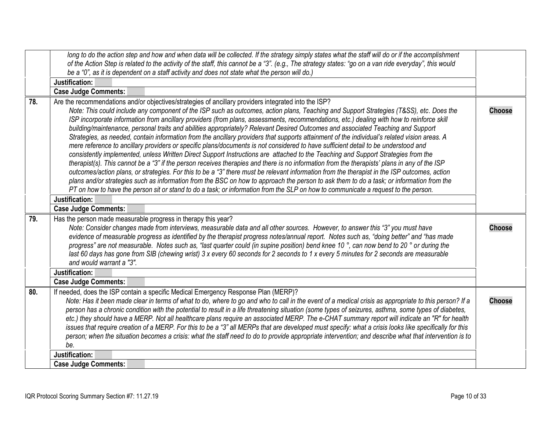<span id="page-9-2"></span><span id="page-9-1"></span><span id="page-9-0"></span>

|     | long to do the action step and how and when data will be collected. If the strategy simply states what the staff will do or if the accomplishment<br>of the Action Step is related to the activity of the staff, this cannot be a "3". (e.g., The strategy states: "go on a van ride everyday", this would<br>be a "0", as it is dependent on a staff activity and does not state what the person will do.)                                                                                                                                                                                                                                                                                                                                                                                                                                                                                                                                                                                                                                                                                                                                                                                                                                                                                     |               |
|-----|-------------------------------------------------------------------------------------------------------------------------------------------------------------------------------------------------------------------------------------------------------------------------------------------------------------------------------------------------------------------------------------------------------------------------------------------------------------------------------------------------------------------------------------------------------------------------------------------------------------------------------------------------------------------------------------------------------------------------------------------------------------------------------------------------------------------------------------------------------------------------------------------------------------------------------------------------------------------------------------------------------------------------------------------------------------------------------------------------------------------------------------------------------------------------------------------------------------------------------------------------------------------------------------------------|---------------|
|     | Justification:                                                                                                                                                                                                                                                                                                                                                                                                                                                                                                                                                                                                                                                                                                                                                                                                                                                                                                                                                                                                                                                                                                                                                                                                                                                                                  |               |
|     | <b>Case Judge Comments:</b>                                                                                                                                                                                                                                                                                                                                                                                                                                                                                                                                                                                                                                                                                                                                                                                                                                                                                                                                                                                                                                                                                                                                                                                                                                                                     |               |
| 78. | Are the recommendations and/or objectives/strategies of ancillary providers integrated into the ISP?                                                                                                                                                                                                                                                                                                                                                                                                                                                                                                                                                                                                                                                                                                                                                                                                                                                                                                                                                                                                                                                                                                                                                                                            |               |
|     | Note: This could include any component of the ISP such as outcomes, action plans, Teaching and Support Strategies (T&SS), etc. Does the<br>ISP incorporate information from ancillary providers (from plans, assessments, recommendations, etc.) dealing with how to reinforce skill<br>building/maintenance, personal traits and abilities appropriately? Relevant Desired Outcomes and associated Teaching and Support<br>Strategies, as needed, contain information from the ancillary providers that supports attainment of the individual's related vision areas. A<br>mere reference to ancillary providers or specific plans/documents is not considered to have sufficient detail to be understood and<br>consistently implemented, unless Written Direct Support Instructions are attached to the Teaching and Support Strategies from the<br>therapist(s). This cannot be a "3" if the person receives therapies and there is no information from the therapists' plans in any of the ISP<br>outcomes/action plans, or strategies. For this to be a "3" there must be relevant information from the therapist in the ISP outcomes, action<br>plans and/or strategies such as information from the BSC on how to approach the person to ask them to do a task; or information from the | <b>Choose</b> |
|     | PT on how to have the person sit or stand to do a task; or information from the SLP on how to communicate a request to the person.                                                                                                                                                                                                                                                                                                                                                                                                                                                                                                                                                                                                                                                                                                                                                                                                                                                                                                                                                                                                                                                                                                                                                              |               |
|     | Justification:                                                                                                                                                                                                                                                                                                                                                                                                                                                                                                                                                                                                                                                                                                                                                                                                                                                                                                                                                                                                                                                                                                                                                                                                                                                                                  |               |
|     | <b>Case Judge Comments:</b>                                                                                                                                                                                                                                                                                                                                                                                                                                                                                                                                                                                                                                                                                                                                                                                                                                                                                                                                                                                                                                                                                                                                                                                                                                                                     |               |
| 79. | Has the person made measurable progress in therapy this year?<br>Note: Consider changes made from interviews, measurable data and all other sources. However, to answer this "3" you must have<br>evidence of measurable progress as identified by the therapist progress notes/annual report. Notes such as, "doing better" and "has made<br>progress" are not measurable. Notes such as, "last quarter could (in supine position) bend knee 10 °, can now bend to 20 ° or during the<br>last 60 days has gone from SIB (chewing wrist) 3 x every 60 seconds for 2 seconds to 1 x every 5 minutes for 2 seconds are measurable<br>and would warrant a "3".                                                                                                                                                                                                                                                                                                                                                                                                                                                                                                                                                                                                                                     | <b>Choose</b> |
|     | Justification:                                                                                                                                                                                                                                                                                                                                                                                                                                                                                                                                                                                                                                                                                                                                                                                                                                                                                                                                                                                                                                                                                                                                                                                                                                                                                  |               |
|     | <b>Case Judge Comments:</b>                                                                                                                                                                                                                                                                                                                                                                                                                                                                                                                                                                                                                                                                                                                                                                                                                                                                                                                                                                                                                                                                                                                                                                                                                                                                     |               |
| 80. | If needed, does the ISP contain a specific Medical Emergency Response Plan (MERP)?<br>Note: Has it been made clear in terms of what to do, where to go and who to call in the event of a medical crisis as appropriate to this person? If a<br>person has a chronic condition with the potential to result in a life threatening situation (some types of seizures, asthma, some types of diabetes,<br>etc.) they should have a MERP. Not all healthcare plans require an associated MERP. The e-CHAT summary report will indicate an "R" for health<br>issues that require creation of a MERP. For this to be a "3" all MERPs that are developed must specify: what a crisis looks like specifically for this<br>person; when the situation becomes a crisis: what the staff need to do to provide appropriate intervention; and describe what that intervention is to<br>be.                                                                                                                                                                                                                                                                                                                                                                                                                  | <b>Choose</b> |
|     | Justification:                                                                                                                                                                                                                                                                                                                                                                                                                                                                                                                                                                                                                                                                                                                                                                                                                                                                                                                                                                                                                                                                                                                                                                                                                                                                                  |               |
|     | <b>Case Judge Comments:</b>                                                                                                                                                                                                                                                                                                                                                                                                                                                                                                                                                                                                                                                                                                                                                                                                                                                                                                                                                                                                                                                                                                                                                                                                                                                                     |               |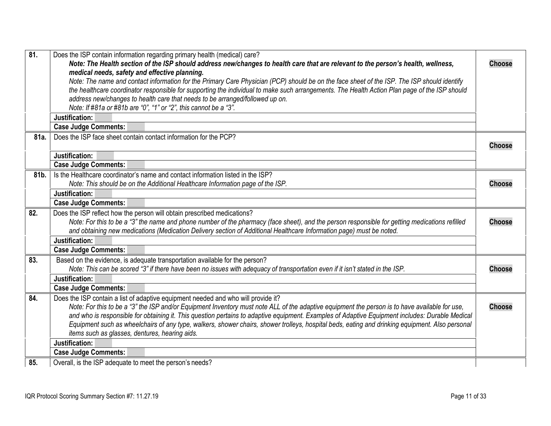<span id="page-10-5"></span><span id="page-10-4"></span><span id="page-10-3"></span><span id="page-10-2"></span><span id="page-10-1"></span><span id="page-10-0"></span>

| 81.  | Does the ISP contain information regarding primary health (medical) care?<br>Note: The Health section of the ISP should address new/changes to health care that are relevant to the person's health, wellness,<br>medical needs, safety and effective planning.                                                                                                                                                                                  | <b>Choose</b> |
|------|--------------------------------------------------------------------------------------------------------------------------------------------------------------------------------------------------------------------------------------------------------------------------------------------------------------------------------------------------------------------------------------------------------------------------------------------------|---------------|
|      | Note: The name and contact information for the Primary Care Physician (PCP) should be on the face sheet of the ISP. The ISP should identify<br>the healthcare coordinator responsible for supporting the individual to make such arrangements. The Health Action Plan page of the ISP should<br>address new/changes to health care that needs to be arranged/followed up on.<br>Note: If #81a or #81b are "0", "1" or "2", this cannot be a "3". |               |
|      | Justification:                                                                                                                                                                                                                                                                                                                                                                                                                                   |               |
|      | <b>Case Judge Comments:</b>                                                                                                                                                                                                                                                                                                                                                                                                                      |               |
| 81a. | Does the ISP face sheet contain contact information for the PCP?                                                                                                                                                                                                                                                                                                                                                                                 | <b>Choose</b> |
|      | Justification:                                                                                                                                                                                                                                                                                                                                                                                                                                   |               |
|      | <b>Case Judge Comments:</b>                                                                                                                                                                                                                                                                                                                                                                                                                      |               |
| 81b. | Is the Healthcare coordinator's name and contact information listed in the ISP?                                                                                                                                                                                                                                                                                                                                                                  |               |
|      | Note: This should be on the Additional Healthcare Information page of the ISP.                                                                                                                                                                                                                                                                                                                                                                   | <b>Choose</b> |
|      | Justification:                                                                                                                                                                                                                                                                                                                                                                                                                                   |               |
|      | <b>Case Judge Comments:</b>                                                                                                                                                                                                                                                                                                                                                                                                                      |               |
| 82.  | Does the ISP reflect how the person will obtain prescribed medications?                                                                                                                                                                                                                                                                                                                                                                          |               |
|      | Note: For this to be a "3" the name and phone number of the pharmacy (face sheet), and the person responsible for getting medications refilled                                                                                                                                                                                                                                                                                                   | <b>Choose</b> |
|      | and obtaining new medications (Medication Delivery section of Additional Healthcare Information page) must be noted.                                                                                                                                                                                                                                                                                                                             |               |
|      | Justification:                                                                                                                                                                                                                                                                                                                                                                                                                                   |               |
|      | <b>Case Judge Comments:</b>                                                                                                                                                                                                                                                                                                                                                                                                                      |               |
| 83.  | Based on the evidence, is adequate transportation available for the person?                                                                                                                                                                                                                                                                                                                                                                      |               |
|      | Note: This can be scored "3" if there have been no issues with adequacy of transportation even if it isn't stated in the ISP.                                                                                                                                                                                                                                                                                                                    | <b>Choose</b> |
|      | Justification:                                                                                                                                                                                                                                                                                                                                                                                                                                   |               |
|      | <b>Case Judge Comments:</b>                                                                                                                                                                                                                                                                                                                                                                                                                      |               |
| 84.  | Does the ISP contain a list of adaptive equipment needed and who will provide it?                                                                                                                                                                                                                                                                                                                                                                |               |
|      | Note: For this to be a "3" the ISP and/or Equipment Inventory must note ALL of the adaptive equipment the person is to have available for use,                                                                                                                                                                                                                                                                                                   | <b>Choose</b> |
|      | and who is responsible for obtaining it. This question pertains to adaptive equipment. Examples of Adaptive Equipment includes: Durable Medical                                                                                                                                                                                                                                                                                                  |               |
|      | Equipment such as wheelchairs of any type, walkers, shower chairs, shower trolleys, hospital beds, eating and drinking equipment. Also personal                                                                                                                                                                                                                                                                                                  |               |
|      | items such as glasses, dentures, hearing aids.                                                                                                                                                                                                                                                                                                                                                                                                   |               |
|      | Justification:                                                                                                                                                                                                                                                                                                                                                                                                                                   |               |
|      | <b>Case Judge Comments:</b>                                                                                                                                                                                                                                                                                                                                                                                                                      |               |
| 85.  | Overall, is the ISP adequate to meet the person's needs?                                                                                                                                                                                                                                                                                                                                                                                         |               |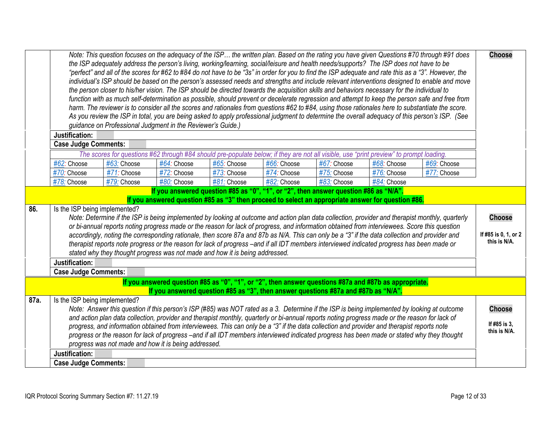<span id="page-11-2"></span><span id="page-11-1"></span><span id="page-11-0"></span>

|      | Justification:                                                                                                                                                                                                                                                                                                                                                                                                                                                                                                                                                                                                                                                                                                     | guidance on Professional Judgment in the Reviewer's Guide.) |                            |             |                            |                                                                                      | the ISP adequately address the person's living, working/learning, social/leisure and health needs/supports? The ISP does not have to be<br>"perfect" and all of the scores for #62 to #84 do not have to be "3s" in order for you to find the ISP adequate and rate this as a "3". However, the<br>the person closer to his/her vision. The ISP should be directed towards the acquisition skills and behaviors necessary for the individual to<br>harm. The reviewer is to consider all the scores and rationales from questions #62 to #84, using those rationales here to substantiate the score. | Note: This question focuses on the adequacy of the ISP the written plan. Based on the rating you have given Questions #70 through #91 does<br>individual's ISP should be based on the person's assessed needs and strengths and include relevant interventions designed to enable and move<br>function with as much self-determination as possible, should prevent or decelerate regression and attempt to keep the person safe and free from<br>As you review the ISP in total, you are being asked to apply professional judgment to determine the overall adequacy of this person's ISP. (See | <b>Choose</b>                                 |
|------|--------------------------------------------------------------------------------------------------------------------------------------------------------------------------------------------------------------------------------------------------------------------------------------------------------------------------------------------------------------------------------------------------------------------------------------------------------------------------------------------------------------------------------------------------------------------------------------------------------------------------------------------------------------------------------------------------------------------|-------------------------------------------------------------|----------------------------|-------------|----------------------------|--------------------------------------------------------------------------------------|------------------------------------------------------------------------------------------------------------------------------------------------------------------------------------------------------------------------------------------------------------------------------------------------------------------------------------------------------------------------------------------------------------------------------------------------------------------------------------------------------------------------------------------------------------------------------------------------------|--------------------------------------------------------------------------------------------------------------------------------------------------------------------------------------------------------------------------------------------------------------------------------------------------------------------------------------------------------------------------------------------------------------------------------------------------------------------------------------------------------------------------------------------------------------------------------------------------|-----------------------------------------------|
|      | <b>Case Judge Comments:</b>                                                                                                                                                                                                                                                                                                                                                                                                                                                                                                                                                                                                                                                                                        |                                                             |                            |             |                            |                                                                                      |                                                                                                                                                                                                                                                                                                                                                                                                                                                                                                                                                                                                      |                                                                                                                                                                                                                                                                                                                                                                                                                                                                                                                                                                                                  |                                               |
|      |                                                                                                                                                                                                                                                                                                                                                                                                                                                                                                                                                                                                                                                                                                                    |                                                             |                            | #65: Choose |                            | #67: Choose                                                                          | The scores for questions #62 through #84 should pre-populate below; if they are not all visible, use "print preview" to prompt loading.                                                                                                                                                                                                                                                                                                                                                                                                                                                              | #69: Choose                                                                                                                                                                                                                                                                                                                                                                                                                                                                                                                                                                                      |                                               |
|      | #62: Choose<br>$#70$ : Choose                                                                                                                                                                                                                                                                                                                                                                                                                                                                                                                                                                                                                                                                                      | #63: Choose<br>#71: Choose                                  | #64: Choose<br>#72: Choose | #73: Choose | #66: Choose<br>#74: Choose | #75: Choose                                                                          | #68: Choose<br>#76: Choose                                                                                                                                                                                                                                                                                                                                                                                                                                                                                                                                                                           | #77: Choose                                                                                                                                                                                                                                                                                                                                                                                                                                                                                                                                                                                      |                                               |
|      | #78: Choose                                                                                                                                                                                                                                                                                                                                                                                                                                                                                                                                                                                                                                                                                                        | #79: Choose                                                 | #80: Choose                | #81: Choose | #82: Choose                | #83: Choose                                                                          | #84: Choose                                                                                                                                                                                                                                                                                                                                                                                                                                                                                                                                                                                          |                                                                                                                                                                                                                                                                                                                                                                                                                                                                                                                                                                                                  |                                               |
|      |                                                                                                                                                                                                                                                                                                                                                                                                                                                                                                                                                                                                                                                                                                                    |                                                             |                            |             |                            | If you answered question #85 as "0", "1", or "2", then answer question #86 as "N/A". |                                                                                                                                                                                                                                                                                                                                                                                                                                                                                                                                                                                                      |                                                                                                                                                                                                                                                                                                                                                                                                                                                                                                                                                                                                  |                                               |
|      |                                                                                                                                                                                                                                                                                                                                                                                                                                                                                                                                                                                                                                                                                                                    |                                                             |                            |             |                            |                                                                                      | If you answered question #85 as "3" then proceed to select an appropriate answer for question #86.                                                                                                                                                                                                                                                                                                                                                                                                                                                                                                   |                                                                                                                                                                                                                                                                                                                                                                                                                                                                                                                                                                                                  |                                               |
| 86.  | Is the ISP being implemented?<br>Note: Determine if the ISP is being implemented by looking at outcome and action plan data collection, provider and therapist monthly, quarterly<br>or bi-annual reports noting progress made or the reason for lack of progress, and information obtained from interviewees. Score this question<br>accordingly, noting the corresponding rationale, then score 87a and 87b as N/A. This can only be a "3" if the data collection and provider and<br>therapist reports note progress or the reason for lack of progress -and if all IDT members interviewed indicated progress has been made or<br>stated why they thought progress was not made and how it is being addressed. |                                                             |                            |             |                            |                                                                                      | <b>Choose</b><br>If #85 is 0, 1, or 2<br>this is N/A.                                                                                                                                                                                                                                                                                                                                                                                                                                                                                                                                                |                                                                                                                                                                                                                                                                                                                                                                                                                                                                                                                                                                                                  |                                               |
|      | Justification:                                                                                                                                                                                                                                                                                                                                                                                                                                                                                                                                                                                                                                                                                                     |                                                             |                            |             |                            |                                                                                      |                                                                                                                                                                                                                                                                                                                                                                                                                                                                                                                                                                                                      |                                                                                                                                                                                                                                                                                                                                                                                                                                                                                                                                                                                                  |                                               |
|      | <b>Case Judge Comments:</b>                                                                                                                                                                                                                                                                                                                                                                                                                                                                                                                                                                                                                                                                                        |                                                             |                            |             |                            |                                                                                      |                                                                                                                                                                                                                                                                                                                                                                                                                                                                                                                                                                                                      |                                                                                                                                                                                                                                                                                                                                                                                                                                                                                                                                                                                                  |                                               |
|      |                                                                                                                                                                                                                                                                                                                                                                                                                                                                                                                                                                                                                                                                                                                    |                                                             |                            |             |                            | If you answered question #85 as "3", then answer questions #87a and #87b as "N/A".   | If you answered question #85 as "0", "1", or "2", then answer questions #87a and #87b as appropriate.                                                                                                                                                                                                                                                                                                                                                                                                                                                                                                |                                                                                                                                                                                                                                                                                                                                                                                                                                                                                                                                                                                                  |                                               |
| 87a. | Is the ISP being implemented?                                                                                                                                                                                                                                                                                                                                                                                                                                                                                                                                                                                                                                                                                      | progress was not made and how it is being addressed.        |                            |             |                            |                                                                                      | Note: Answer this question if this person's ISP (#85) was NOT rated as a 3. Determine if the ISP is being implemented by looking at outcome<br>and action plan data collection, provider and therapist monthly, quarterly or bi-annual reports noting progress made or the reason for lack of<br>progress, and information obtained from interviewees. This can only be a "3" if the data collection and provider and therapist reports note<br>progress or the reason for lack of progress -and if all IDT members interviewed indicated progress has been made or stated why they thought          |                                                                                                                                                                                                                                                                                                                                                                                                                                                                                                                                                                                                  | <b>Choose</b><br>If #85 is 3,<br>this is N/A. |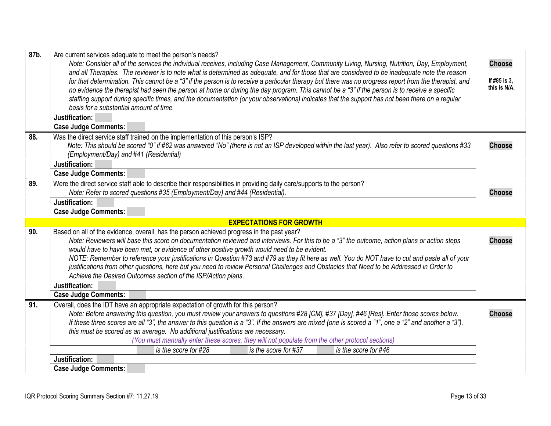<span id="page-12-5"></span><span id="page-12-4"></span><span id="page-12-3"></span><span id="page-12-2"></span><span id="page-12-1"></span><span id="page-12-0"></span>

| 87b. | Are current services adequate to meet the person's needs?                                                                                                                                                                                                                                      | <b>Choose</b> |
|------|------------------------------------------------------------------------------------------------------------------------------------------------------------------------------------------------------------------------------------------------------------------------------------------------|---------------|
|      | Note: Consider all of the services the individual receives, including Case Management, Community Living, Nursing, Nutrition, Day, Employment,<br>and all Therapies. The reviewer is to note what is determined as adequate, and for those that are considered to be inadequate note the reason |               |
|      | for that determination. This cannot be a "3" if the person is to receive a particular therapy but there was no progress report from the therapist, and                                                                                                                                         | If #85 is 3,  |
|      | no evidence the therapist had seen the person at home or during the day program. This cannot be a "3" if the person is to receive a specific                                                                                                                                                   | this is N/A.  |
|      | staffing support during specific times, and the documentation (or your observations) indicates that the support has not been there on a regular                                                                                                                                                |               |
|      | basis for a substantial amount of time.                                                                                                                                                                                                                                                        |               |
|      | Justification:                                                                                                                                                                                                                                                                                 |               |
|      | <b>Case Judge Comments:</b>                                                                                                                                                                                                                                                                    |               |
| 88.  | Was the direct service staff trained on the implementation of this person's ISP?                                                                                                                                                                                                               |               |
|      | Note: This should be scored "0" if #62 was answered "No" (there is not an ISP developed within the last year). Also refer to scored questions #33                                                                                                                                              | <b>Choose</b> |
|      | (Employment/Day) and #41 (Residential)                                                                                                                                                                                                                                                         |               |
|      | Justification:                                                                                                                                                                                                                                                                                 |               |
|      | <b>Case Judge Comments:</b>                                                                                                                                                                                                                                                                    |               |
| 89.  | Were the direct service staff able to describe their responsibilities in providing daily care/supports to the person?                                                                                                                                                                          |               |
|      | Note: Refer to scored questions #35 (Employment/Day) and #44 (Residential).                                                                                                                                                                                                                    | <b>Choose</b> |
|      | Justification:                                                                                                                                                                                                                                                                                 |               |
|      | <b>Case Judge Comments:</b>                                                                                                                                                                                                                                                                    |               |
|      | <b>EXPECTATIONS FOR GROWTH</b>                                                                                                                                                                                                                                                                 |               |
| 90.  | Based on all of the evidence, overall, has the person achieved progress in the past year?                                                                                                                                                                                                      |               |
|      | Note: Reviewers will base this score on documentation reviewed and interviews. For this to be a "3" the outcome, action plans or action steps                                                                                                                                                  | <b>Choose</b> |
|      | would have to have been met, or evidence of other positive growth would need to be evident.                                                                                                                                                                                                    |               |
|      | NOTE: Remember to reference your justifications in Question #73 and #79 as they fit here as well. You do NOT have to cut and paste all of your<br>justifications from other questions, here but you need to review Personal Challenges and Obstacles that Need to be Addressed in Order to     |               |
|      | Achieve the Desired Outcomes section of the ISP/Action plans.                                                                                                                                                                                                                                  |               |
|      | Justification:                                                                                                                                                                                                                                                                                 |               |
|      | <b>Case Judge Comments:</b>                                                                                                                                                                                                                                                                    |               |
| 91.  | Overall, does the IDT have an appropriate expectation of growth for this person?                                                                                                                                                                                                               |               |
|      | Note: Before answering this question, you must review your answers to questions #28 [CM], #37 [Day], #46 [Res]. Enter those scores below.                                                                                                                                                      | <b>Choose</b> |
|      | If these three scores are all "3", the answer to this question is a "3". If the answers are mixed (one is scored a "1", one a "2" and another a "3"),                                                                                                                                          |               |
|      | this must be scored as an average. No additional justifications are necessary.                                                                                                                                                                                                                 |               |
|      | (You must manually enter these scores, they will not populate from the other protocol sections)                                                                                                                                                                                                |               |
|      | is the score for #28<br>is the score for #37<br>is the score for #46                                                                                                                                                                                                                           |               |
|      | Justification:                                                                                                                                                                                                                                                                                 |               |
|      | <b>Case Judge Comments:</b>                                                                                                                                                                                                                                                                    |               |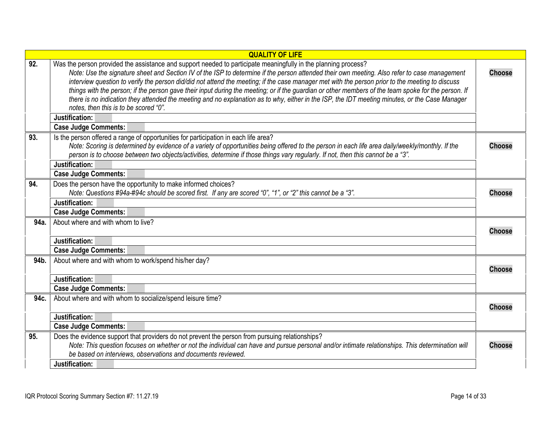<span id="page-13-7"></span><span id="page-13-6"></span><span id="page-13-5"></span><span id="page-13-4"></span><span id="page-13-3"></span><span id="page-13-2"></span><span id="page-13-1"></span><span id="page-13-0"></span>

|      | <b>QUALITY OF LIFE</b>                                                                                                                                                                                                                                                                                                                                                                                                                                                                                                                                                                                                                                                                                                                                                                |               |
|------|---------------------------------------------------------------------------------------------------------------------------------------------------------------------------------------------------------------------------------------------------------------------------------------------------------------------------------------------------------------------------------------------------------------------------------------------------------------------------------------------------------------------------------------------------------------------------------------------------------------------------------------------------------------------------------------------------------------------------------------------------------------------------------------|---------------|
| 92.  | Was the person provided the assistance and support needed to participate meaningfully in the planning process?<br>Note: Use the signature sheet and Section IV of the ISP to determine if the person attended their own meeting. Also refer to case management<br>interview question to verify the person did/did not attend the meeting; if the case manager met with the person prior to the meeting to discuss<br>things with the person; if the person gave their input during the meeting; or if the guardian or other members of the team spoke for the person. If<br>there is no indication they attended the meeting and no explanation as to why, either in the ISP, the IDT meeting minutes, or the Case Manager<br>notes, then this is to be scored "0".<br>Justification: | <b>Choose</b> |
|      | <b>Case Judge Comments:</b>                                                                                                                                                                                                                                                                                                                                                                                                                                                                                                                                                                                                                                                                                                                                                           |               |
| 93.  | Is the person offered a range of opportunities for participation in each life area?<br>Note: Scoring is determined by evidence of a variety of opportunities being offered to the person in each life area daily/weekly/monthly. If the<br>person is to choose between two objects/activities, determine if those things vary regularly. If not, then this cannot be a "3".<br>Justification:                                                                                                                                                                                                                                                                                                                                                                                         | <b>Choose</b> |
|      | <b>Case Judge Comments:</b>                                                                                                                                                                                                                                                                                                                                                                                                                                                                                                                                                                                                                                                                                                                                                           |               |
| 94.  | Does the person have the opportunity to make informed choices?<br>Note: Questions #94a-#94c should be scored first. If any are scored "0", "1", or "2" this cannot be a "3".                                                                                                                                                                                                                                                                                                                                                                                                                                                                                                                                                                                                          | <b>Choose</b> |
|      | Justification:                                                                                                                                                                                                                                                                                                                                                                                                                                                                                                                                                                                                                                                                                                                                                                        |               |
|      | <b>Case Judge Comments:</b>                                                                                                                                                                                                                                                                                                                                                                                                                                                                                                                                                                                                                                                                                                                                                           |               |
| 94a. | About where and with whom to live?                                                                                                                                                                                                                                                                                                                                                                                                                                                                                                                                                                                                                                                                                                                                                    | <b>Choose</b> |
|      | Justification:                                                                                                                                                                                                                                                                                                                                                                                                                                                                                                                                                                                                                                                                                                                                                                        |               |
|      | <b>Case Judge Comments:</b>                                                                                                                                                                                                                                                                                                                                                                                                                                                                                                                                                                                                                                                                                                                                                           |               |
| 94b. | About where and with whom to work/spend his/her day?                                                                                                                                                                                                                                                                                                                                                                                                                                                                                                                                                                                                                                                                                                                                  | <b>Choose</b> |
|      | Justification:                                                                                                                                                                                                                                                                                                                                                                                                                                                                                                                                                                                                                                                                                                                                                                        |               |
|      | <b>Case Judge Comments:</b>                                                                                                                                                                                                                                                                                                                                                                                                                                                                                                                                                                                                                                                                                                                                                           |               |
| 94c. | About where and with whom to socialize/spend leisure time?                                                                                                                                                                                                                                                                                                                                                                                                                                                                                                                                                                                                                                                                                                                            | <b>Choose</b> |
|      | Justification:                                                                                                                                                                                                                                                                                                                                                                                                                                                                                                                                                                                                                                                                                                                                                                        |               |
|      | <b>Case Judge Comments:</b>                                                                                                                                                                                                                                                                                                                                                                                                                                                                                                                                                                                                                                                                                                                                                           |               |
| 95.  | Does the evidence support that providers do not prevent the person from pursuing relationships?<br>Note: This question focuses on whether or not the individual can have and pursue personal and/or intimate relationships. This determination will<br>be based on interviews, observations and documents reviewed.                                                                                                                                                                                                                                                                                                                                                                                                                                                                   | <b>Choose</b> |
|      | Justification:                                                                                                                                                                                                                                                                                                                                                                                                                                                                                                                                                                                                                                                                                                                                                                        |               |
|      |                                                                                                                                                                                                                                                                                                                                                                                                                                                                                                                                                                                                                                                                                                                                                                                       |               |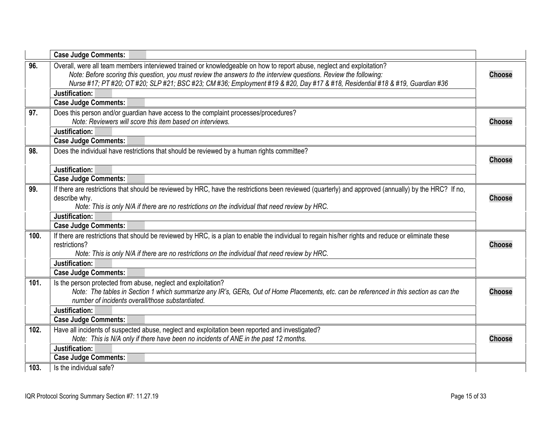<span id="page-14-6"></span><span id="page-14-5"></span><span id="page-14-4"></span><span id="page-14-3"></span><span id="page-14-2"></span><span id="page-14-1"></span><span id="page-14-0"></span>

|      | <b>Case Judge Comments:</b>                                                                                                                                                                                                                                                                                                                                                 |               |
|------|-----------------------------------------------------------------------------------------------------------------------------------------------------------------------------------------------------------------------------------------------------------------------------------------------------------------------------------------------------------------------------|---------------|
| 96.  | Overall, were all team members interviewed trained or knowledgeable on how to report abuse, neglect and exploitation?<br>Note: Before scoring this question, you must review the answers to the interview questions. Review the following:<br>Nurse #17; PT #20; OT #20; SLP #21; BSC #23; CM #36; Employment #19 & #20, Day #17 & #18, Residential #18 & #19, Guardian #36 | <b>Choose</b> |
|      | Justification:                                                                                                                                                                                                                                                                                                                                                              |               |
|      | <b>Case Judge Comments:</b>                                                                                                                                                                                                                                                                                                                                                 |               |
| 97.  | Does this person and/or guardian have access to the complaint processes/procedures?                                                                                                                                                                                                                                                                                         |               |
|      | Note: Reviewers will score this item based on interviews.                                                                                                                                                                                                                                                                                                                   | <b>Choose</b> |
|      | Justification:                                                                                                                                                                                                                                                                                                                                                              |               |
|      | <b>Case Judge Comments:</b>                                                                                                                                                                                                                                                                                                                                                 |               |
| 98.  | Does the individual have restrictions that should be reviewed by a human rights committee?                                                                                                                                                                                                                                                                                  | <b>Choose</b> |
|      | Justification:                                                                                                                                                                                                                                                                                                                                                              |               |
|      | <b>Case Judge Comments:</b>                                                                                                                                                                                                                                                                                                                                                 |               |
| 99.  | If there are restrictions that should be reviewed by HRC, have the restrictions been reviewed (quarterly) and approved (annually) by the HRC? If no,                                                                                                                                                                                                                        |               |
|      | describe why.                                                                                                                                                                                                                                                                                                                                                               | <b>Choose</b> |
|      | Note: This is only N/A if there are no restrictions on the individual that need review by HRC.                                                                                                                                                                                                                                                                              |               |
|      | Justification:                                                                                                                                                                                                                                                                                                                                                              |               |
|      | <b>Case Judge Comments:</b>                                                                                                                                                                                                                                                                                                                                                 |               |
| 100. | If there are restrictions that should be reviewed by HRC, is a plan to enable the individual to regain his/her rights and reduce or eliminate these                                                                                                                                                                                                                         |               |
|      | restrictions?                                                                                                                                                                                                                                                                                                                                                               | <b>Choose</b> |
|      | Note: This is only N/A if there are no restrictions on the individual that need review by HRC.<br>Justification:                                                                                                                                                                                                                                                            |               |
|      |                                                                                                                                                                                                                                                                                                                                                                             |               |
|      | <b>Case Judge Comments:</b>                                                                                                                                                                                                                                                                                                                                                 |               |
| 101. | Is the person protected from abuse, neglect and exploitation?<br>Note: The tables in Section 1 which summarize any IR's, GERs, Out of Home Placements, etc. can be referenced in this section as can the                                                                                                                                                                    | <b>Choose</b> |
|      | number of incidents overall/those substantiated.                                                                                                                                                                                                                                                                                                                            |               |
|      | Justification:                                                                                                                                                                                                                                                                                                                                                              |               |
|      | <b>Case Judge Comments:</b>                                                                                                                                                                                                                                                                                                                                                 |               |
| 102. | Have all incidents of suspected abuse, neglect and exploitation been reported and investigated?                                                                                                                                                                                                                                                                             |               |
|      | Note: This is N/A only if there have been no incidents of ANE in the past 12 months.                                                                                                                                                                                                                                                                                        | <b>Choose</b> |
|      | Justification:                                                                                                                                                                                                                                                                                                                                                              |               |
|      | <b>Case Judge Comments:</b>                                                                                                                                                                                                                                                                                                                                                 |               |
| 103. | Is the individual safe?                                                                                                                                                                                                                                                                                                                                                     |               |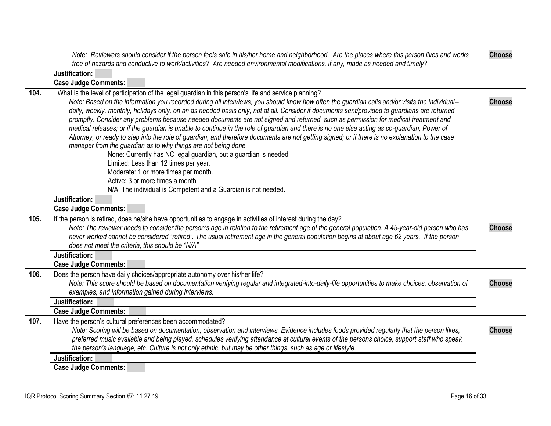<span id="page-15-4"></span><span id="page-15-3"></span><span id="page-15-2"></span><span id="page-15-1"></span><span id="page-15-0"></span>

|      | Note: Reviewers should consider if the person feels safe in his/her home and neighborhood. Are the places where this person lives and works                                                                                                                                                                                                                                                                                                                                                                                                                                                                                                                                                                                                                                                                                                                                                                                                                                                                                                                                                                                                                               | <b>Choose</b> |
|------|---------------------------------------------------------------------------------------------------------------------------------------------------------------------------------------------------------------------------------------------------------------------------------------------------------------------------------------------------------------------------------------------------------------------------------------------------------------------------------------------------------------------------------------------------------------------------------------------------------------------------------------------------------------------------------------------------------------------------------------------------------------------------------------------------------------------------------------------------------------------------------------------------------------------------------------------------------------------------------------------------------------------------------------------------------------------------------------------------------------------------------------------------------------------------|---------------|
|      | free of hazards and conductive to work/activities? Are needed environmental modifications, if any, made as needed and timely?                                                                                                                                                                                                                                                                                                                                                                                                                                                                                                                                                                                                                                                                                                                                                                                                                                                                                                                                                                                                                                             |               |
|      | Justification:                                                                                                                                                                                                                                                                                                                                                                                                                                                                                                                                                                                                                                                                                                                                                                                                                                                                                                                                                                                                                                                                                                                                                            |               |
|      | <b>Case Judge Comments:</b>                                                                                                                                                                                                                                                                                                                                                                                                                                                                                                                                                                                                                                                                                                                                                                                                                                                                                                                                                                                                                                                                                                                                               |               |
| 104. | What is the level of participation of the legal guardian in this person's life and service planning?<br>Note: Based on the information you recorded during all interviews, you should know how often the guardian calls and/or visits the individual--<br>daily, weekly, monthly, holidays only, on an as needed basis only, not at all. Consider if documents sent/provided to guardians are returned<br>promptly. Consider any problems because needed documents are not signed and returned, such as permission for medical treatment and<br>medical releases; or if the guardian is unable to continue in the role of guardian and there is no one else acting as co-guardian, Power of<br>Attorney, or ready to step into the role of guardian, and therefore documents are not getting signed; or if there is no explanation to the case<br>manager from the guardian as to why things are not being done.<br>None: Currently has NO legal guardian, but a guardian is needed<br>Limited: Less than 12 times per year.<br>Moderate: 1 or more times per month.<br>Active: 3 or more times a month<br>N/A: The individual is Competent and a Guardian is not needed. | <b>Choose</b> |
|      | Justification:<br><b>Case Judge Comments:</b>                                                                                                                                                                                                                                                                                                                                                                                                                                                                                                                                                                                                                                                                                                                                                                                                                                                                                                                                                                                                                                                                                                                             |               |
| 105. | If the person is retired, does he/she have opportunities to engage in activities of interest during the day?<br>Note: The reviewer needs to consider the person's age in relation to the retirement age of the general population. A 45-year-old person who has<br>never worked cannot be considered "retired". The usual retirement age in the general population begins at about age 62 years. If the person<br>does not meet the criteria, this should be "N/A".                                                                                                                                                                                                                                                                                                                                                                                                                                                                                                                                                                                                                                                                                                       | <b>Choose</b> |
|      | Justification:                                                                                                                                                                                                                                                                                                                                                                                                                                                                                                                                                                                                                                                                                                                                                                                                                                                                                                                                                                                                                                                                                                                                                            |               |
|      | <b>Case Judge Comments:</b>                                                                                                                                                                                                                                                                                                                                                                                                                                                                                                                                                                                                                                                                                                                                                                                                                                                                                                                                                                                                                                                                                                                                               |               |
| 106. | Does the person have daily choices/appropriate autonomy over his/her life?<br>Note: This score should be based on documentation verifying regular and integrated-into-daily-life opportunities to make choices, observation of<br>examples, and information gained during interviews.                                                                                                                                                                                                                                                                                                                                                                                                                                                                                                                                                                                                                                                                                                                                                                                                                                                                                     | <b>Choose</b> |
|      | Justification:                                                                                                                                                                                                                                                                                                                                                                                                                                                                                                                                                                                                                                                                                                                                                                                                                                                                                                                                                                                                                                                                                                                                                            |               |
|      | <b>Case Judge Comments:</b>                                                                                                                                                                                                                                                                                                                                                                                                                                                                                                                                                                                                                                                                                                                                                                                                                                                                                                                                                                                                                                                                                                                                               |               |
| 107. | Have the person's cultural preferences been accommodated?<br>Note: Scoring will be based on documentation, observation and interviews. Evidence includes foods provided regularly that the person likes,<br>preferred music available and being played, schedules verifying attendance at cultural events of the persons choice; support staff who speak<br>the person's language, etc. Culture is not only ethnic, but may be other things, such as age or lifestyle.                                                                                                                                                                                                                                                                                                                                                                                                                                                                                                                                                                                                                                                                                                    | <b>Choose</b> |
|      | Justification:                                                                                                                                                                                                                                                                                                                                                                                                                                                                                                                                                                                                                                                                                                                                                                                                                                                                                                                                                                                                                                                                                                                                                            |               |
|      | <b>Case Judge Comments:</b>                                                                                                                                                                                                                                                                                                                                                                                                                                                                                                                                                                                                                                                                                                                                                                                                                                                                                                                                                                                                                                                                                                                                               |               |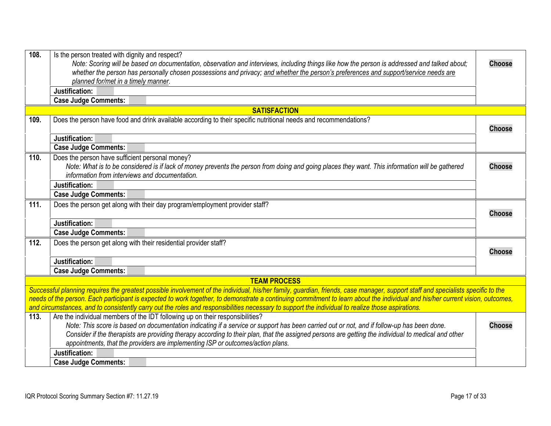<span id="page-16-7"></span><span id="page-16-6"></span><span id="page-16-5"></span><span id="page-16-4"></span><span id="page-16-3"></span><span id="page-16-2"></span><span id="page-16-1"></span><span id="page-16-0"></span>

| 108. | Is the person treated with dignity and respect?                                                                                                                                  |               |
|------|----------------------------------------------------------------------------------------------------------------------------------------------------------------------------------|---------------|
|      | Note: Scoring will be based on documentation, observation and interviews, including things like how the person is addressed and talked about;                                    | <b>Choose</b> |
|      | whether the person has personally chosen possessions and privacy; and whether the person's preferences and support/service needs are                                             |               |
|      | planned for/met in a timely manner.                                                                                                                                              |               |
|      | Justification:                                                                                                                                                                   |               |
|      | <b>Case Judge Comments:</b>                                                                                                                                                      |               |
|      | <b>SATISFACTION</b>                                                                                                                                                              |               |
| 109. | Does the person have food and drink available according to their specific nutritional needs and recommendations?                                                                 |               |
|      |                                                                                                                                                                                  | <b>Choose</b> |
|      | Justification:                                                                                                                                                                   |               |
|      | <b>Case Judge Comments:</b>                                                                                                                                                      |               |
| 110. | Does the person have sufficient personal money?                                                                                                                                  |               |
|      | Note: What is to be considered is if lack of money prevents the person from doing and going places they want. This information will be gathered                                  | <b>Choose</b> |
|      | information from interviews and documentation.                                                                                                                                   |               |
|      | Justification:                                                                                                                                                                   |               |
|      | <b>Case Judge Comments:</b>                                                                                                                                                      |               |
| 111. | Does the person get along with their day program/employment provider staff?                                                                                                      |               |
|      |                                                                                                                                                                                  | <b>Choose</b> |
|      | Justification:                                                                                                                                                                   |               |
|      | <b>Case Judge Comments:</b>                                                                                                                                                      |               |
| 112. | Does the person get along with their residential provider staff?                                                                                                                 |               |
|      |                                                                                                                                                                                  | <b>Choose</b> |
|      | Justification:                                                                                                                                                                   |               |
|      | <b>Case Judge Comments:</b>                                                                                                                                                      |               |
|      | <b>TEAM PROCESS</b>                                                                                                                                                              |               |
|      | Successful planning requires the greatest possible involvement of the individual, his/her family, guardian, friends, case manager, support staff and specialists specific to the |               |
|      | needs of the person. Each participant is expected to work together, to demonstrate a continuing commitment to learn about the individual and his/her current vision, outcomes,   |               |
|      | and circumstances, and to consistently carry out the roles and responsibilities necessary to support the individual to realize those aspirations.                                |               |
| 113. | Are the individual members of the IDT following up on their responsibilities?                                                                                                    |               |
|      | Note: This score is based on documentation indicating if a service or support has been carried out or not, and if follow-up has been done.                                       | <b>Choose</b> |
|      | Consider if the therapists are providing therapy according to their plan, that the assigned persons are getting the individual to medical and other                              |               |
|      | appointments, that the providers are implementing ISP or outcomes/action plans.                                                                                                  |               |
|      | Justification:                                                                                                                                                                   |               |
|      | <b>Case Judge Comments:</b>                                                                                                                                                      |               |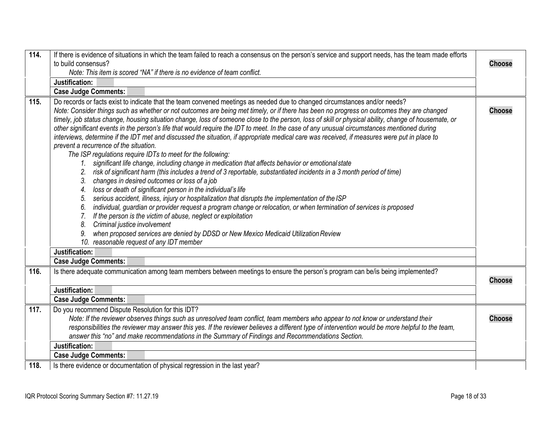<span id="page-17-3"></span><span id="page-17-2"></span><span id="page-17-1"></span><span id="page-17-0"></span>

| 114. | If there is evidence of situations in which the team failed to reach a consensus on the person's service and support needs, has the team made efforts |               |
|------|-------------------------------------------------------------------------------------------------------------------------------------------------------|---------------|
|      | to build consensus?<br>Note: This item is scored "NA" if there is no evidence of team conflict.                                                       | <b>Choose</b> |
|      | Justification:                                                                                                                                        |               |
|      | <b>Case Judge Comments:</b>                                                                                                                           |               |
| 115. | Do records or facts exist to indicate that the team convened meetings as needed due to changed circumstances and/or needs?                            |               |
|      | Note: Consider things such as whether or not outcomes are being met timely, or if there has been no progress on outcomes they are changed             | <b>Choose</b> |
|      | timely, job status change, housing situation change, loss of someone close to the person, loss of skill or physical ability, change of housemate, or  |               |
|      | other significant events in the person's life that would require the IDT to meet. In the case of any unusual circumstances mentioned during           |               |
|      | interviews, determine if the IDT met and discussed the situation, if appropriate medical care was received, if measures were put in place to          |               |
|      | prevent a recurrence of the situation.                                                                                                                |               |
|      | The ISP regulations require IDTs to meet for the following:                                                                                           |               |
|      | significant life change, including change in medication that affects behavior or emotional state<br>$1_{-}$                                           |               |
|      | risk of significant harm (this includes a trend of 3 reportable, substantiated incidents in a 3 month period of time)                                 |               |
|      | changes in desired outcomes or loss of a job<br>3.                                                                                                    |               |
|      | loss or death of significant person in the individual's life<br>4.                                                                                    |               |
|      | serious accident, illness, injury or hospitalization that disrupts the implementation of the ISP<br>5.                                                |               |
|      | individual, guardian or provider request a program change or relocation, or when termination of services is proposed<br>6.                            |               |
|      | If the person is the victim of abuse, neglect or exploitation<br>7.                                                                                   |               |
|      | Criminal justice involvement<br>8.                                                                                                                    |               |
|      | when proposed services are denied by DDSD or New Mexico Medicaid Utilization Review<br>9.                                                             |               |
|      | 10. reasonable request of any IDT member                                                                                                              |               |
|      | Justification:                                                                                                                                        |               |
|      | <b>Case Judge Comments:</b>                                                                                                                           |               |
| 116. | Is there adequate communication among team members between meetings to ensure the person's program can be/is being implemented?                       | <b>Choose</b> |
|      | Justification:                                                                                                                                        |               |
|      | <b>Case Judge Comments:</b>                                                                                                                           |               |
| 117. | Do you recommend Dispute Resolution for this IDT?                                                                                                     |               |
|      | Note: If the reviewer observes things such as unresolved team conflict, team members who appear to not know or understand their                       | <b>Choose</b> |
|      | responsibilities the reviewer may answer this yes. If the reviewer believes a different type of intervention would be more helpful to the team,       |               |
|      | answer this "no" and make recommendations in the Summary of Findings and Recommendations Section.                                                     |               |
|      | Justification:                                                                                                                                        |               |
|      | <b>Case Judge Comments:</b>                                                                                                                           |               |
| 118. | Is there evidence or documentation of physical regression in the last year?                                                                           |               |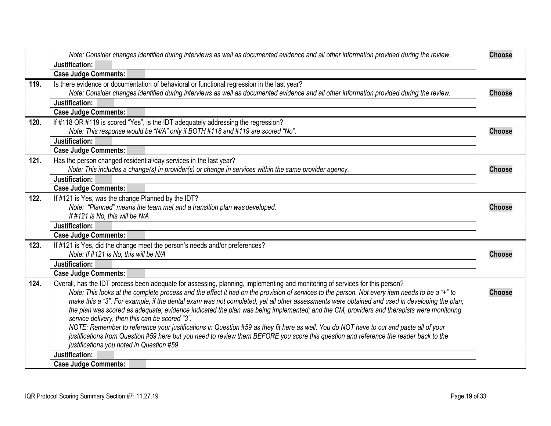<span id="page-18-7"></span><span id="page-18-6"></span><span id="page-18-5"></span><span id="page-18-4"></span><span id="page-18-3"></span><span id="page-18-2"></span><span id="page-18-1"></span><span id="page-18-0"></span>

|      | Note: Consider changes identified during interviews as well as documented evidence and all other information provided during the review.                                                   | <b>Choose</b> |
|------|--------------------------------------------------------------------------------------------------------------------------------------------------------------------------------------------|---------------|
|      | Justification:                                                                                                                                                                             |               |
|      | <b>Case Judge Comments:</b>                                                                                                                                                                |               |
| 119. | Is there evidence or documentation of behavioral or functional regression in the last year?                                                                                                |               |
|      | Note: Consider changes identified during interviews as well as documented evidence and all other information provided during the review.                                                   | <b>Choose</b> |
|      | Justification:                                                                                                                                                                             |               |
|      | <b>Case Judge Comments:</b>                                                                                                                                                                |               |
| 120. | If #118 OR #119 is scored "Yes", is the IDT adequately addressing the regression?                                                                                                          |               |
|      | Note: This response would be "N/A" only if BOTH #118 and #119 are scored "No".                                                                                                             | <b>Choose</b> |
|      | Justification:                                                                                                                                                                             |               |
|      | <b>Case Judge Comments:</b>                                                                                                                                                                |               |
| 121. | Has the person changed residential/day services in the last year?                                                                                                                          |               |
|      | Note: This includes a change(s) in provider(s) or change in services within the same provider agency.                                                                                      | <b>Choose</b> |
|      | Justification:                                                                                                                                                                             |               |
|      | <b>Case Judge Comments:</b>                                                                                                                                                                |               |
| 122. | If #121 is Yes, was the change Planned by the IDT?                                                                                                                                         |               |
|      | Note: "Planned" means the team met and a transition plan was developed.                                                                                                                    | <b>Choose</b> |
|      | If #121 is No, this will be N/A                                                                                                                                                            |               |
|      | Justification:                                                                                                                                                                             |               |
|      | <b>Case Judge Comments:</b>                                                                                                                                                                |               |
| 123. | If #121 is Yes, did the change meet the person's needs and/or preferences?                                                                                                                 |               |
|      | Note: If #121 is No, this will be N/A                                                                                                                                                      | <b>Choose</b> |
|      | Justification:                                                                                                                                                                             |               |
|      | <b>Case Judge Comments:</b>                                                                                                                                                                |               |
| 124. | Overall, has the IDT process been adequate for assessing, planning, implementing and monitoring of services for this person?                                                               |               |
|      | Note: This looks at the complete process and the effect it had on the provision of services to the person. Not every item needs to be a "+" to                                             | <b>Choose</b> |
|      | make this a "3". For example, if the dental exam was not completed, yet all other assessments were obtained and used in developing the plan;                                               |               |
|      | the plan was scored as adequate; evidence indicated the plan was being implemented; and the CM, providers and therapists were monitoring<br>service delivery, then this can be scored "3". |               |
|      | NOTE: Remember to reference your justifications in Question #59 as they fit here as well. You do NOT have to cut and paste all of your                                                     |               |
|      | justifications from Question #59 here but you need to review them BEFORE you score this question and reference the reader back to the                                                      |               |
|      | justifications you noted in Question #59.                                                                                                                                                  |               |
|      | Justification:                                                                                                                                                                             |               |
|      | <b>Case Judge Comments:</b>                                                                                                                                                                |               |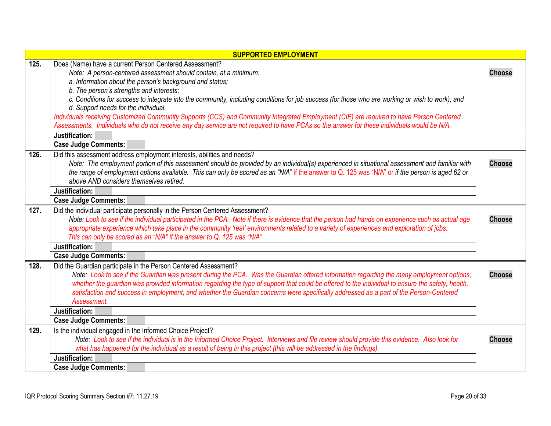<span id="page-19-4"></span><span id="page-19-3"></span><span id="page-19-2"></span><span id="page-19-1"></span><span id="page-19-0"></span>

| <b>SUPPORTED EMPLOYMENT</b> |                                                                                                                                                                                                                                                                                                                                                                                                                                                                                                                                                                                                                                                                                                                                             |               |
|-----------------------------|---------------------------------------------------------------------------------------------------------------------------------------------------------------------------------------------------------------------------------------------------------------------------------------------------------------------------------------------------------------------------------------------------------------------------------------------------------------------------------------------------------------------------------------------------------------------------------------------------------------------------------------------------------------------------------------------------------------------------------------------|---------------|
| 125.                        | Does (Name) have a current Person Centered Assessment?<br>Note: A person-centered assessment should contain, at a minimum:<br>a. Information about the person's background and status;<br>b. The person's strengths and interests;<br>c. Conditions for success to integrate into the community, including conditions for job success (for those who are working or wish to work); and<br>d. Support needs for the individual.<br>Individuals receiving Customized Community Supports (CCS) and Community Integrated Employment (CIE) are required to have Person Centered<br>Assessments. Individuals who do not receive any day service are not required to have PCAs so the answer for these individuals would be N/A.<br>Justification: | <b>Choose</b> |
|                             | <b>Case Judge Comments:</b>                                                                                                                                                                                                                                                                                                                                                                                                                                                                                                                                                                                                                                                                                                                 |               |
| 126.                        | Did this assessment address employment interests, abilities and needs?<br>Note: The employment portion of this assessment should be provided by an individual(s) experienced in situational assessment and familiar with<br>the range of employment options available. This can only be scored as an "N/A" if the answer to Q. 125 was "N/A" or if the person is aged 62 or<br>above AND considers themselves retired.                                                                                                                                                                                                                                                                                                                      | <b>Choose</b> |
|                             | Justification:                                                                                                                                                                                                                                                                                                                                                                                                                                                                                                                                                                                                                                                                                                                              |               |
|                             | <b>Case Judge Comments:</b>                                                                                                                                                                                                                                                                                                                                                                                                                                                                                                                                                                                                                                                                                                                 |               |
| 127.                        | Did the individual participate personally in the Person Centered Assessment?<br>Note: Look to see if the individual participated in the PCA. Note if there is evidence that the person had hands on experience such as actual age<br>appropriate experience which take place in the community 'real' environments related to a variety of experiences and exploration of jobs.<br>This can only be scored as an "N/A" if the answer to Q. 125 was "N/A"                                                                                                                                                                                                                                                                                     | <b>Choose</b> |
|                             | Justification:                                                                                                                                                                                                                                                                                                                                                                                                                                                                                                                                                                                                                                                                                                                              |               |
|                             | <b>Case Judge Comments:</b>                                                                                                                                                                                                                                                                                                                                                                                                                                                                                                                                                                                                                                                                                                                 |               |
| 128.                        | Did the Guardian participate in the Person Centered Assessment?<br>Note: Look to see if the Guardian was present during the PCA. Was the Guardian offered information regarding the many employment options;<br>whether the guardian was provided information regarding the type of support that could be offered to the individual to ensure the safety, health,<br>satisfaction and success in employment; and whether the Guardian concerns were specifically addressed as a part of the Person-Centered<br>Assessment.                                                                                                                                                                                                                  | <b>Choose</b> |
|                             | Justification:                                                                                                                                                                                                                                                                                                                                                                                                                                                                                                                                                                                                                                                                                                                              |               |
|                             | <b>Case Judge Comments:</b>                                                                                                                                                                                                                                                                                                                                                                                                                                                                                                                                                                                                                                                                                                                 |               |
| 129.                        | Is the individual engaged in the Informed Choice Project?<br>Note: Look to see if the individual is in the Informed Choice Project. Interviews and file review should provide this evidence. Also look for<br>what has happened for the individual as a result of being in this project (this will be addressed in the findings).                                                                                                                                                                                                                                                                                                                                                                                                           | <b>Choose</b> |
|                             | Justification:                                                                                                                                                                                                                                                                                                                                                                                                                                                                                                                                                                                                                                                                                                                              |               |
|                             | <b>Case Judge Comments:</b>                                                                                                                                                                                                                                                                                                                                                                                                                                                                                                                                                                                                                                                                                                                 |               |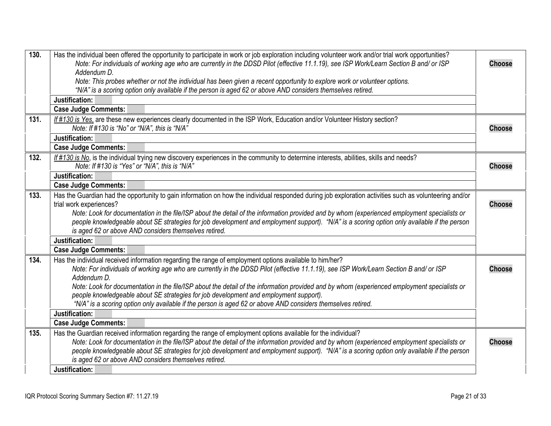<span id="page-20-5"></span><span id="page-20-4"></span><span id="page-20-3"></span><span id="page-20-2"></span><span id="page-20-1"></span><span id="page-20-0"></span>

| 130. | Has the individual been offered the opportunity to participate in work or job exploration including volunteer work and/or trial work opportunities?<br>Note: For individuals of working age who are currently in the DDSD Pilot (effective 11.1.19), see ISP Work/Learn Section B and/ or ISP<br>Addendum D. | <b>Choose</b> |
|------|--------------------------------------------------------------------------------------------------------------------------------------------------------------------------------------------------------------------------------------------------------------------------------------------------------------|---------------|
|      | Note: This probes whether or not the individual has been given a recent opportunity to explore work or volunteer options.                                                                                                                                                                                    |               |
|      | "N/A" is a scoring option only available if the person is aged 62 or above AND considers themselves retired.                                                                                                                                                                                                 |               |
|      | Justification:                                                                                                                                                                                                                                                                                               |               |
|      | <b>Case Judge Comments:</b>                                                                                                                                                                                                                                                                                  |               |
| 131. | If #130 is Yes, are these new experiences clearly documented in the ISP Work, Education and/or Volunteer History section?<br>Note: If #130 is "No" or "N/A", this is "N/A"                                                                                                                                   | <b>Choose</b> |
|      | Justification:                                                                                                                                                                                                                                                                                               |               |
|      | <b>Case Judge Comments:</b>                                                                                                                                                                                                                                                                                  |               |
| 132. | If #130 is No, is the individual trying new discovery experiences in the community to determine interests, abilities, skills and needs?<br>Note: If #130 is "Yes" or "N/A", this is "N/A"                                                                                                                    | <b>Choose</b> |
|      | Justification:                                                                                                                                                                                                                                                                                               |               |
|      | <b>Case Judge Comments:</b>                                                                                                                                                                                                                                                                                  |               |
| 133. | Has the Guardian had the opportunity to gain information on how the individual responded during job exploration activities such as volunteering and/or                                                                                                                                                       |               |
|      | trial work experiences?                                                                                                                                                                                                                                                                                      | <b>Choose</b> |
|      | Note: Look for documentation in the file/ISP about the detail of the information provided and by whom (experienced employment specialists or                                                                                                                                                                 |               |
|      | people knowledgeable about SE strategies for job development and employment support). "N/A" is a scoring option only available if the person<br>is aged 62 or above AND considers themselves retired.                                                                                                        |               |
|      | Justification:                                                                                                                                                                                                                                                                                               |               |
|      | <b>Case Judge Comments:</b>                                                                                                                                                                                                                                                                                  |               |
| 134. |                                                                                                                                                                                                                                                                                                              |               |
|      | Has the individual received information regarding the range of employment options available to him/her?<br>Note: For individuals of working age who are currently in the DDSD Pilot (effective 11.1.19), see ISP Work/Learn Section B and/ or ISP                                                            | <b>Choose</b> |
|      | Addendum D.                                                                                                                                                                                                                                                                                                  |               |
|      | Note: Look for documentation in the file/ISP about the detail of the information provided and by whom (experienced employment specialists or                                                                                                                                                                 |               |
|      | people knowledgeable about SE strategies for job development and employment support).                                                                                                                                                                                                                        |               |
|      | "N/A" is a scoring option only available if the person is aged 62 or above AND considers themselves retired.                                                                                                                                                                                                 |               |
|      | Justification:                                                                                                                                                                                                                                                                                               |               |
|      | <b>Case Judge Comments:</b>                                                                                                                                                                                                                                                                                  |               |
| 135. | Has the Guardian received information regarding the range of employment options available for the individual?                                                                                                                                                                                                |               |
|      | Note: Look for documentation in the file/ISP about the detail of the information provided and by whom (experienced employment specialists or                                                                                                                                                                 | <b>Choose</b> |
|      | people knowledgeable about SE strategies for job development and employment support). "N/A" is a scoring option only available if the person                                                                                                                                                                 |               |
|      | is aged 62 or above AND considers themselves retired.                                                                                                                                                                                                                                                        |               |
|      | Justification:                                                                                                                                                                                                                                                                                               |               |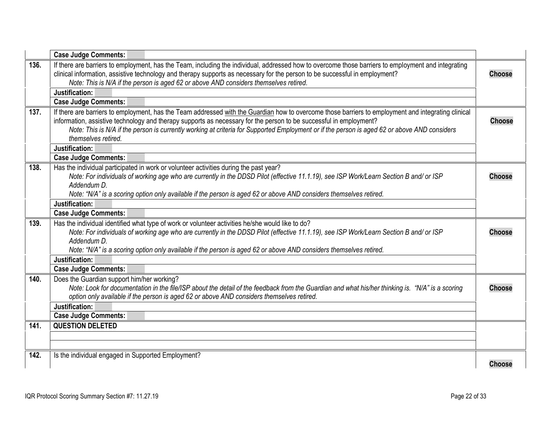<span id="page-21-5"></span><span id="page-21-4"></span><span id="page-21-3"></span><span id="page-21-2"></span><span id="page-21-1"></span><span id="page-21-0"></span>

|      | <b>Case Judge Comments:</b>                                                                                                                                                                                                                                                                                                                                                                                                                      |               |
|------|--------------------------------------------------------------------------------------------------------------------------------------------------------------------------------------------------------------------------------------------------------------------------------------------------------------------------------------------------------------------------------------------------------------------------------------------------|---------------|
| 136. | If there are barriers to employment, has the Team, including the individual, addressed how to overcome those barriers to employment and integrating<br>clinical information, assistive technology and therapy supports as necessary for the person to be successful in employment?<br>Note: This is N/A if the person is aged 62 or above AND considers themselves retired.                                                                      | <b>Choose</b> |
|      | Justification:                                                                                                                                                                                                                                                                                                                                                                                                                                   |               |
|      | <b>Case Judge Comments:</b>                                                                                                                                                                                                                                                                                                                                                                                                                      |               |
| 137. | If there are barriers to employment, has the Team addressed with the Guardian how to overcome those barriers to employment and integrating clinical<br>information, assistive technology and therapy supports as necessary for the person to be successful in employment?<br>Note: This is N/A if the person is currently working at criteria for Supported Employment or if the person is aged 62 or above AND considers<br>themselves retired. | <b>Choose</b> |
|      | Justification:                                                                                                                                                                                                                                                                                                                                                                                                                                   |               |
|      | <b>Case Judge Comments:</b>                                                                                                                                                                                                                                                                                                                                                                                                                      |               |
| 138. | Has the individual participated in work or volunteer activities during the past year?<br>Note: For individuals of working age who are currently in the DDSD Pilot (effective 11.1.19), see ISP Work/Learn Section B and/ or ISP<br>Addendum D.<br>Note: "N/A" is a scoring option only available if the person is aged 62 or above AND considers themselves retired.                                                                             | <b>Choose</b> |
|      | Justification:                                                                                                                                                                                                                                                                                                                                                                                                                                   |               |
|      | <b>Case Judge Comments:</b>                                                                                                                                                                                                                                                                                                                                                                                                                      |               |
| 139. | Has the individual identified what type of work or volunteer activities he/she would like to do?<br>Note: For individuals of working age who are currently in the DDSD Pilot (effective 11.1.19), see ISP Work/Learn Section B and/ or ISP<br>Addendum D.                                                                                                                                                                                        | <b>Choose</b> |
|      | Note: "N/A" is a scoring option only available if the person is aged 62 or above AND considers themselves retired.<br>Justification:                                                                                                                                                                                                                                                                                                             |               |
|      | <b>Case Judge Comments:</b>                                                                                                                                                                                                                                                                                                                                                                                                                      |               |
| 140. | Does the Guardian support him/her working?<br>Note: Look for documentation in the file/ISP about the detail of the feedback from the Guardian and what his/her thinking is. "N/A" is a scoring<br>option only available if the person is aged 62 or above AND considers themselves retired.                                                                                                                                                      | <b>Choose</b> |
|      | Justification:                                                                                                                                                                                                                                                                                                                                                                                                                                   |               |
| 141. | <b>Case Judge Comments:</b><br><b>QUESTION DELETED</b>                                                                                                                                                                                                                                                                                                                                                                                           |               |
|      |                                                                                                                                                                                                                                                                                                                                                                                                                                                  |               |
| 142. | Is the individual engaged in Supported Employment?                                                                                                                                                                                                                                                                                                                                                                                               | <b>Choose</b> |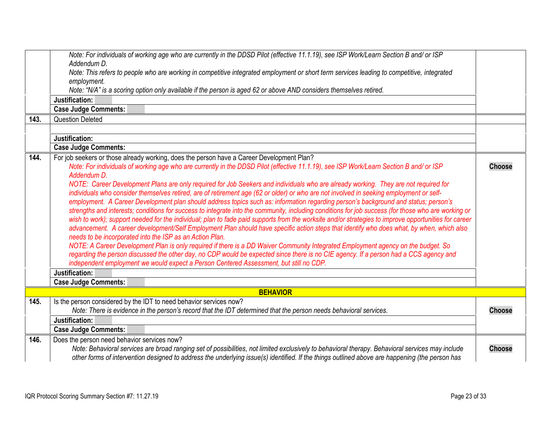<span id="page-22-3"></span><span id="page-22-2"></span><span id="page-22-1"></span><span id="page-22-0"></span>

| 143. | Note: For individuals of working age who are currently in the DDSD Pilot (effective 11.1.19), see ISP Work/Learn Section B and/ or ISP<br>Addendum D.<br>Note: This refers to people who are working in competitive integrated employment or short term services leading to competitive, integrated<br>employment.<br>Note: "N/A" is a scoring option only available if the person is aged 62 or above AND considers themselves retired.<br>Justification:<br><b>Case Judge Comments:</b><br><b>Question Deleted</b>                                                                                                                                                                                                                                                                                                                                                                                                                                                                                                                                                                                                                                                                                                                                                                                                                                                                                                                                                                                                                                                                          |               |
|------|-----------------------------------------------------------------------------------------------------------------------------------------------------------------------------------------------------------------------------------------------------------------------------------------------------------------------------------------------------------------------------------------------------------------------------------------------------------------------------------------------------------------------------------------------------------------------------------------------------------------------------------------------------------------------------------------------------------------------------------------------------------------------------------------------------------------------------------------------------------------------------------------------------------------------------------------------------------------------------------------------------------------------------------------------------------------------------------------------------------------------------------------------------------------------------------------------------------------------------------------------------------------------------------------------------------------------------------------------------------------------------------------------------------------------------------------------------------------------------------------------------------------------------------------------------------------------------------------------|---------------|
|      |                                                                                                                                                                                                                                                                                                                                                                                                                                                                                                                                                                                                                                                                                                                                                                                                                                                                                                                                                                                                                                                                                                                                                                                                                                                                                                                                                                                                                                                                                                                                                                                               |               |
|      | Justification:                                                                                                                                                                                                                                                                                                                                                                                                                                                                                                                                                                                                                                                                                                                                                                                                                                                                                                                                                                                                                                                                                                                                                                                                                                                                                                                                                                                                                                                                                                                                                                                |               |
|      | <b>Case Judge Comments:</b>                                                                                                                                                                                                                                                                                                                                                                                                                                                                                                                                                                                                                                                                                                                                                                                                                                                                                                                                                                                                                                                                                                                                                                                                                                                                                                                                                                                                                                                                                                                                                                   |               |
| 144. | For job seekers or those already working, does the person have a Career Development Plan?<br>Note: For individuals of working age who are currently in the DDSD Pilot (effective 11.1.19), see ISP Work/Learn Section B and/ or ISP<br>Addendum D.<br>NOTE: Career Development Plans are only required for Job Seekers and individuals who are already working. They are not required for<br>individuals who consider themselves retired, are of retirement age (62 or older) or who are not involved in seeking employment or self-<br>employment. A Career Development plan should address topics such as: information regarding person's background and status; person's<br>strengths and interests; conditions for success to integrate into the community, including conditions for job success (for those who are working or<br>wish to work); support needed for the individual; plan to fade paid supports from the worksite and/or strategies to improve opportunities for career<br>advancement. A career development/Self Employment Plan should have specific action steps that identify who does what, by when, which also<br>needs to be incorporated into the ISP as an Action Plan.<br>NOTE: A Career Development Plan is only required if there is a DD Waiver Community Integrated Employment agency on the budget. So<br>regarding the person discussed the other day, no CDP would be expected since there is no CIE agency. If a person had a CCS agency and<br>independent employment we would expect a Person Centered Assessment, but still no CDP.<br>Justification: | <b>Choose</b> |
|      | <b>Case Judge Comments:</b>                                                                                                                                                                                                                                                                                                                                                                                                                                                                                                                                                                                                                                                                                                                                                                                                                                                                                                                                                                                                                                                                                                                                                                                                                                                                                                                                                                                                                                                                                                                                                                   |               |
|      | <b>BEHAVIOR</b>                                                                                                                                                                                                                                                                                                                                                                                                                                                                                                                                                                                                                                                                                                                                                                                                                                                                                                                                                                                                                                                                                                                                                                                                                                                                                                                                                                                                                                                                                                                                                                               |               |
| 145. | Is the person considered by the IDT to need behavior services now?<br>Note: There is evidence in the person's record that the IDT determined that the person needs behavioral services.                                                                                                                                                                                                                                                                                                                                                                                                                                                                                                                                                                                                                                                                                                                                                                                                                                                                                                                                                                                                                                                                                                                                                                                                                                                                                                                                                                                                       | <b>Choose</b> |
|      | Justification:<br><b>Case Judge Comments:</b>                                                                                                                                                                                                                                                                                                                                                                                                                                                                                                                                                                                                                                                                                                                                                                                                                                                                                                                                                                                                                                                                                                                                                                                                                                                                                                                                                                                                                                                                                                                                                 |               |
| 146. | Does the person need behavior services now?                                                                                                                                                                                                                                                                                                                                                                                                                                                                                                                                                                                                                                                                                                                                                                                                                                                                                                                                                                                                                                                                                                                                                                                                                                                                                                                                                                                                                                                                                                                                                   |               |
|      | Note: Behavioral services are broad ranging set of possibilities, not limited exclusively to behavioral therapy. Behavioral services may include<br>other forms of intervention designed to address the underlying issue(s) identified. If the things outlined above are happening (the person has                                                                                                                                                                                                                                                                                                                                                                                                                                                                                                                                                                                                                                                                                                                                                                                                                                                                                                                                                                                                                                                                                                                                                                                                                                                                                            | <b>Choose</b> |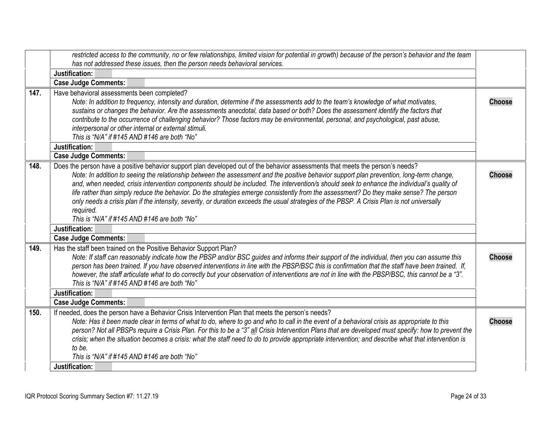<span id="page-23-3"></span><span id="page-23-2"></span><span id="page-23-1"></span><span id="page-23-0"></span>

|      | restricted access to the community, no or few relationships, limited vision for potential in growth) because of the person's behavior and the team                                                                                                                                                    |               |
|------|-------------------------------------------------------------------------------------------------------------------------------------------------------------------------------------------------------------------------------------------------------------------------------------------------------|---------------|
|      | has not addressed these issues, then the person needs behavioral services.                                                                                                                                                                                                                            |               |
|      | Justification:                                                                                                                                                                                                                                                                                        |               |
|      | <b>Case Judge Comments:</b>                                                                                                                                                                                                                                                                           |               |
| 147. | Have behavioral assessments been completed?                                                                                                                                                                                                                                                           |               |
|      | Note: In addition to frequency, intensity and duration, determine if the assessments add to the team's knowledge of what motivates,<br>sustains or changes the behavior. Are the assessments anecdotal, data based or both? Does the assessment identify the factors that                             | <b>Choose</b> |
|      | contribute to the occurrence of challenging behavior? Those factors may be environmental, personal, and psychological, past abuse,                                                                                                                                                                    |               |
|      | interpersonal or other internal or external stimuli.                                                                                                                                                                                                                                                  |               |
|      | This is "N/A" if #145 AND #146 are both "No"                                                                                                                                                                                                                                                          |               |
|      | Justification:                                                                                                                                                                                                                                                                                        |               |
|      | <b>Case Judge Comments:</b>                                                                                                                                                                                                                                                                           |               |
| 148. | Does the person have a positive behavior support plan developed out of the behavior assessments that meets the person's needs?                                                                                                                                                                        |               |
|      | Note: In addition to seeing the relationship between the assessment and the positive behavior support plan prevention, long-term change,                                                                                                                                                              | <b>Choose</b> |
|      | and, when needed, crisis intervention components should be included. The intervention/s should seek to enhance the individual's quality of                                                                                                                                                            |               |
|      | life rather than simply reduce the behavior. Do the strategies emerge consistently from the assessment? Do they make sense? The person                                                                                                                                                                |               |
|      | only needs a crisis plan if the intensity, severity, or duration exceeds the usual strategies of the PBSP. A Crisis Plan is not universally                                                                                                                                                           |               |
|      | required.                                                                                                                                                                                                                                                                                             |               |
|      | This is "N/A" if #145 AND #146 are both "No"                                                                                                                                                                                                                                                          |               |
|      | Justification:                                                                                                                                                                                                                                                                                        |               |
|      | <b>Case Judge Comments:</b>                                                                                                                                                                                                                                                                           |               |
| 149. | Has the staff been trained on the Positive Behavior Support Plan?                                                                                                                                                                                                                                     |               |
|      | Note: If staff can reasonably indicate how the PBSP and/or BSC guides and informs their support of the individual, then you can assume this                                                                                                                                                           | <b>Choose</b> |
|      | person has been trained. If you have observed interventions in line with the PBSP/BSC this is confirmation that the staff have been trained. If,<br>however, the staff articulate what to do correctly but your observation of interventions are not in line with the PBSP/BSC, this cannot be a "3". |               |
|      | This is "N/A" if #145 AND #146 are both "No"                                                                                                                                                                                                                                                          |               |
|      | Justification:                                                                                                                                                                                                                                                                                        |               |
|      | <b>Case Judge Comments:</b>                                                                                                                                                                                                                                                                           |               |
| 150. | If needed, does the person have a Behavior Crisis Intervention Plan that meets the person's needs?                                                                                                                                                                                                    |               |
|      | Note: Has it been made clear in terms of what to do, where to go and who to call in the event of a behavioral crisis as appropriate to this                                                                                                                                                           | <b>Choose</b> |
|      | person? Not all PBSPs require a Crisis Plan. For this to be a "3" all Crisis Intervention Plans that are developed must specify: how to prevent the                                                                                                                                                   |               |
|      | crisis; when the situation becomes a crisis: what the staff need to do to provide appropriate intervention; and describe what that intervention is                                                                                                                                                    |               |
|      | to be.                                                                                                                                                                                                                                                                                                |               |
|      | This is "N/A" if #145 AND #146 are both "No"                                                                                                                                                                                                                                                          |               |
|      | Justification:                                                                                                                                                                                                                                                                                        |               |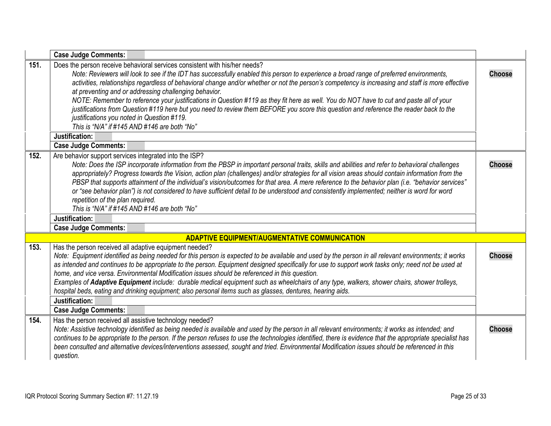<span id="page-24-4"></span><span id="page-24-3"></span><span id="page-24-2"></span><span id="page-24-1"></span><span id="page-24-0"></span>

|      | <b>Case Judge Comments:</b>                                                                                                                                                                                                                                                                                                                                                                                                                                                                                                                                                                                                                                                                                                                                                                                            |               |
|------|------------------------------------------------------------------------------------------------------------------------------------------------------------------------------------------------------------------------------------------------------------------------------------------------------------------------------------------------------------------------------------------------------------------------------------------------------------------------------------------------------------------------------------------------------------------------------------------------------------------------------------------------------------------------------------------------------------------------------------------------------------------------------------------------------------------------|---------------|
| 151. | Does the person receive behavioral services consistent with his/her needs?<br>Note: Reviewers will look to see if the IDT has successfully enabled this person to experience a broad range of preferred environments,<br>activities, relationships regardless of behavioral change and/or whether or not the person's competency is increasing and staff is more effective<br>at preventing and or addressing challenging behavior.<br>NOTE: Remember to reference your justifications in Question #119 as they fit here as well. You do NOT have to cut and paste all of your<br>justifications from Question #119 here but you need to review them BEFORE you score this question and reference the reader back to the<br>justifications you noted in Question #119.<br>This is "N/A" if #145 AND #146 are both "No" | <b>Choose</b> |
|      | Justification:<br><b>Case Judge Comments:</b>                                                                                                                                                                                                                                                                                                                                                                                                                                                                                                                                                                                                                                                                                                                                                                          |               |
| 152. | Are behavior support services integrated into the ISP?<br>Note: Does the ISP incorporate information from the PBSP in important personal traits, skills and abilities and refer to behavioral challenges<br>appropriately? Progress towards the Vision, action plan (challenges) and/or strategies for all vision areas should contain information from the<br>PBSP that supports attainment of the individual's vision/outcomes for that area. A mere reference to the behavior plan (i.e. "behavior services"<br>or "see behavior plan") is not considered to have sufficient detail to be understood and consistently implemented; neither is word for word<br>repetition of the plan required.<br>This is "N/A" if #145 AND #146 are both "No"                                                                     | <b>Choose</b> |
|      | Justification:                                                                                                                                                                                                                                                                                                                                                                                                                                                                                                                                                                                                                                                                                                                                                                                                         |               |
|      | <b>Case Judge Comments:</b><br><b>ADAPTIVE EQUIPMENT/AUGMENTATIVE COMMUNICATION</b>                                                                                                                                                                                                                                                                                                                                                                                                                                                                                                                                                                                                                                                                                                                                    |               |
| 153. | Has the person received all adaptive equipment needed?                                                                                                                                                                                                                                                                                                                                                                                                                                                                                                                                                                                                                                                                                                                                                                 |               |
|      | Note: Equipment identified as being needed for this person is expected to be available and used by the person in all relevant environments; it works<br>as intended and continues to be appropriate to the person. Equipment designed specifically for use to support work tasks only; need not be used at<br>home, and vice versa. Environmental Modification issues should be referenced in this question.<br>Examples of Adaptive Equipment include: durable medical equipment such as wheelchairs of any type, walkers, shower chairs, shower trolleys,<br>hospital beds, eating and drinking equipment; also personal items such as glasses, dentures, hearing aids.<br>Justification:                                                                                                                            | <b>Choose</b> |
|      | <b>Case Judge Comments:</b>                                                                                                                                                                                                                                                                                                                                                                                                                                                                                                                                                                                                                                                                                                                                                                                            |               |
| 154. | Has the person received all assistive technology needed?<br>Note: Assistive technology identified as being needed is available and used by the person in all relevant environments; it works as intended; and<br>continues to be appropriate to the person. If the person refuses to use the technologies identified, there is evidence that the appropriate specialist has<br>been consulted and alternative devices/interventions assessed, sought and tried. Environmental Modification issues should be referenced in this<br>question.                                                                                                                                                                                                                                                                            | <b>Choose</b> |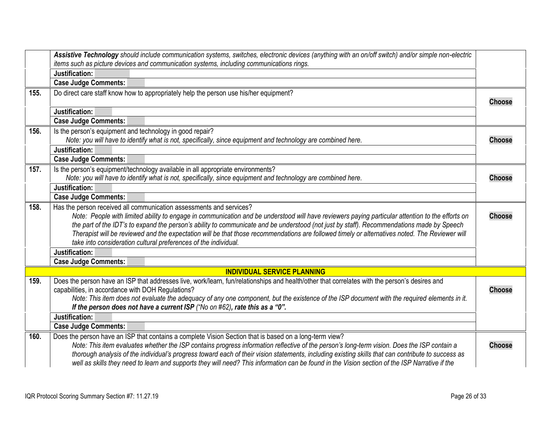<span id="page-25-6"></span><span id="page-25-5"></span><span id="page-25-4"></span><span id="page-25-3"></span><span id="page-25-2"></span><span id="page-25-1"></span><span id="page-25-0"></span>

|      | Assistive Technology should include communication systems, switches, electronic devices (anything with an on/off switch) and/or simple non-electric<br>items such as picture devices and communication systems, including communications rings.                                                                                                                                                                                                                                                                                                               |               |
|------|---------------------------------------------------------------------------------------------------------------------------------------------------------------------------------------------------------------------------------------------------------------------------------------------------------------------------------------------------------------------------------------------------------------------------------------------------------------------------------------------------------------------------------------------------------------|---------------|
|      | Justification:                                                                                                                                                                                                                                                                                                                                                                                                                                                                                                                                                |               |
|      | <b>Case Judge Comments:</b>                                                                                                                                                                                                                                                                                                                                                                                                                                                                                                                                   |               |
| 155. | Do direct care staff know how to appropriately help the person use his/her equipment?                                                                                                                                                                                                                                                                                                                                                                                                                                                                         | <b>Choose</b> |
|      | Justification:                                                                                                                                                                                                                                                                                                                                                                                                                                                                                                                                                |               |
|      | <b>Case Judge Comments:</b>                                                                                                                                                                                                                                                                                                                                                                                                                                                                                                                                   |               |
| 156. | Is the person's equipment and technology in good repair?<br>Note: you will have to identify what is not, specifically, since equipment and technology are combined here.                                                                                                                                                                                                                                                                                                                                                                                      | <b>Choose</b> |
|      | Justification:                                                                                                                                                                                                                                                                                                                                                                                                                                                                                                                                                |               |
|      | <b>Case Judge Comments:</b>                                                                                                                                                                                                                                                                                                                                                                                                                                                                                                                                   |               |
| 157. | Is the person's equipment/technology available in all appropriate environments?                                                                                                                                                                                                                                                                                                                                                                                                                                                                               |               |
|      | Note: you will have to identify what is not, specifically, since equipment and technology are combined here.                                                                                                                                                                                                                                                                                                                                                                                                                                                  | <b>Choose</b> |
|      | Justification:                                                                                                                                                                                                                                                                                                                                                                                                                                                                                                                                                |               |
|      | <b>Case Judge Comments:</b>                                                                                                                                                                                                                                                                                                                                                                                                                                                                                                                                   |               |
| 158. | Has the person received all communication assessments and services?                                                                                                                                                                                                                                                                                                                                                                                                                                                                                           |               |
|      | Note: People with limited ability to engage in communication and be understood will have reviewers paying particular attention to the efforts on                                                                                                                                                                                                                                                                                                                                                                                                              | <b>Choose</b> |
|      | the part of the IDT's to expand the person's ability to communicate and be understood (not just by staff). Recommendations made by Speech                                                                                                                                                                                                                                                                                                                                                                                                                     |               |
|      | Therapist will be reviewed and the expectation will be that those recommendations are followed timely or alternatives noted. The Reviewer will                                                                                                                                                                                                                                                                                                                                                                                                                |               |
|      | take into consideration cultural preferences of the individual.                                                                                                                                                                                                                                                                                                                                                                                                                                                                                               |               |
|      | Justification:                                                                                                                                                                                                                                                                                                                                                                                                                                                                                                                                                |               |
|      | <b>Case Judge Comments:</b>                                                                                                                                                                                                                                                                                                                                                                                                                                                                                                                                   |               |
|      | <b>INDIVIDUAL SERVICE PLANNING</b>                                                                                                                                                                                                                                                                                                                                                                                                                                                                                                                            |               |
| 159. | Does the person have an ISP that addresses live, work/learn, fun/relationships and health/other that correlates with the person's desires and                                                                                                                                                                                                                                                                                                                                                                                                                 |               |
|      | capabilities, in accordance with DOH Regulations?                                                                                                                                                                                                                                                                                                                                                                                                                                                                                                             | <b>Choose</b> |
|      | Note: This item does not evaluate the adequacy of any one component, but the existence of the ISP document with the required elements in it.<br>If the person does not have a current ISP ("No on $#62$ ), rate this as a "0".                                                                                                                                                                                                                                                                                                                                |               |
|      | Justification:                                                                                                                                                                                                                                                                                                                                                                                                                                                                                                                                                |               |
|      | <b>Case Judge Comments:</b>                                                                                                                                                                                                                                                                                                                                                                                                                                                                                                                                   |               |
| 160. | Does the person have an ISP that contains a complete Vision Section that is based on a long-term view?<br>Note: This item evaluates whether the ISP contains progress information reflective of the person's long-term vision. Does the ISP contain a<br>thorough analysis of the individual's progress toward each of their vision statements, including existing skills that can contribute to success as<br>well as skills they need to learn and supports they will need? This information can be found in the Vision section of the ISP Narrative if the | <b>Choose</b> |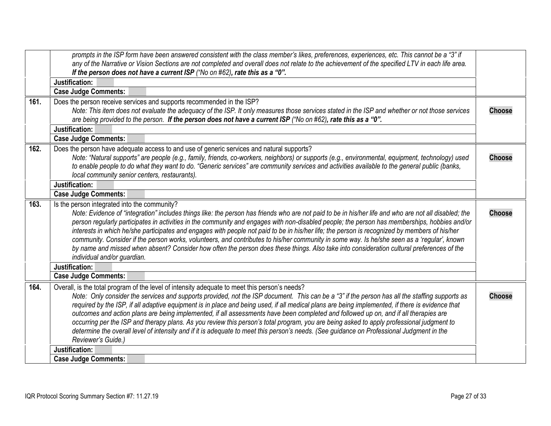<span id="page-26-3"></span><span id="page-26-2"></span><span id="page-26-1"></span><span id="page-26-0"></span>

|      | prompts in the ISP form have been answered consistent with the class member's likes, preferences, experiences, etc. This cannot be a "3" if<br>any of the Narrative or Vision Sections are not completed and overall does not relate to the achievement of the specified LTV in each life area. |               |
|------|-------------------------------------------------------------------------------------------------------------------------------------------------------------------------------------------------------------------------------------------------------------------------------------------------|---------------|
|      | If the person does not have a current ISP ("No on #62), rate this as a "0".                                                                                                                                                                                                                     |               |
|      | Justification:                                                                                                                                                                                                                                                                                  |               |
|      | <b>Case Judge Comments:</b>                                                                                                                                                                                                                                                                     |               |
| 161. | Does the person receive services and supports recommended in the ISP?                                                                                                                                                                                                                           |               |
|      | Note: This item does not evaluate the adequacy of the ISP. It only measures those services stated in the ISP and whether or not those services                                                                                                                                                  | <b>Choose</b> |
|      | are being provided to the person. If the person does not have a current ISP ("No on #62), rate this as a "0".                                                                                                                                                                                   |               |
|      | Justification:                                                                                                                                                                                                                                                                                  |               |
|      | <b>Case Judge Comments:</b>                                                                                                                                                                                                                                                                     |               |
| 162. | Does the person have adequate access to and use of generic services and natural supports?                                                                                                                                                                                                       |               |
|      | Note: "Natural supports" are people (e.g., family, friends, co-workers, neighbors) or supports (e.g., environmental, equipment, technology) used                                                                                                                                                | <b>Choose</b> |
|      | to enable people to do what they want to do. "Generic services" are community services and activities available to the general public (banks,                                                                                                                                                   |               |
|      | local community senior centers, restaurants).                                                                                                                                                                                                                                                   |               |
|      | Justification:                                                                                                                                                                                                                                                                                  |               |
|      | <b>Case Judge Comments:</b>                                                                                                                                                                                                                                                                     |               |
| 163. | Is the person integrated into the community?                                                                                                                                                                                                                                                    |               |
|      | Note: Evidence of "integration" includes things like: the person has friends who are not paid to be in his/her life and who are not all disabled; the                                                                                                                                           | <b>Choose</b> |
|      | person regularly participates in activities in the community and engages with non-disabled people; the person has memberships, hobbies and/or                                                                                                                                                   |               |
|      | interests in which he/she participates and engages with people not paid to be in his/her life; the person is recognized by members of his/her                                                                                                                                                   |               |
|      | community. Consider if the person works, volunteers, and contributes to his/her community in some way. Is he/she seen as a 'regular', known                                                                                                                                                     |               |
|      | by name and missed when absent? Consider how often the person does these things. Also take into consideration cultural preferences of the                                                                                                                                                       |               |
|      | individual and/or guardian.                                                                                                                                                                                                                                                                     |               |
|      | Justification:                                                                                                                                                                                                                                                                                  |               |
|      | <b>Case Judge Comments:</b>                                                                                                                                                                                                                                                                     |               |
| 164. | Overall, is the total program of the level of intensity adequate to meet this person's needs?                                                                                                                                                                                                   |               |
|      | Note: Only consider the services and supports provided, not the ISP document. This can be a "3" if the person has all the staffing supports as                                                                                                                                                  | <b>Choose</b> |
|      | required by the ISP, if all adaptive equipment is in place and being used, if all medical plans are being implemented, if there is evidence that                                                                                                                                                |               |
|      | outcomes and action plans are being implemented, if all assessments have been completed and followed up on, and if all therapies are                                                                                                                                                            |               |
|      | occurring per the ISP and therapy plans. As you review this person's total program, you are being asked to apply professional judgment to                                                                                                                                                       |               |
|      | determine the overall level of intensity and if it is adequate to meet this person's needs. (See guidance on Professional Judgment in the                                                                                                                                                       |               |
|      | Reviewer's Guide.)                                                                                                                                                                                                                                                                              |               |
|      | Justification:                                                                                                                                                                                                                                                                                  |               |
|      | <b>Case Judge Comments:</b>                                                                                                                                                                                                                                                                     |               |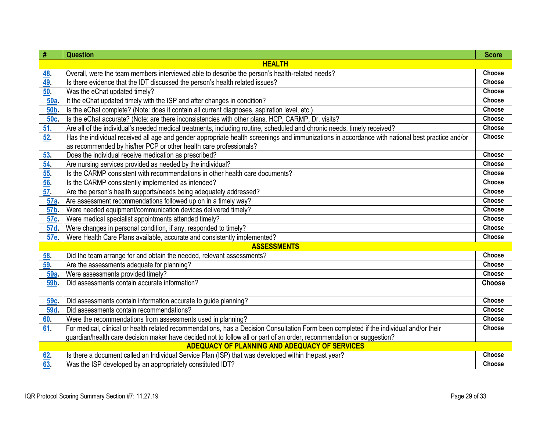| #               | <b>Question</b>                                                                                                                                 | <b>Score</b> |  |
|-----------------|-------------------------------------------------------------------------------------------------------------------------------------------------|--------------|--|
|                 | <b>HEALTH</b>                                                                                                                                   |              |  |
| 48.             | Overall, were the team members interviewed able to describe the person's health-related needs?                                                  | Choose       |  |
| 49.             | Is there evidence that the IDT discussed the person's health related issues?                                                                    | Choose       |  |
| 50.             | Was the eChat updated timely?                                                                                                                   | Choose       |  |
| 50a             | It the eChat updated timely with the ISP and after changes in condition?                                                                        | Choose       |  |
| <b>50b</b>      | Is the eChat complete? (Note: does it contain all current diagnoses, aspiration level, etc.)                                                    | Choose       |  |
| 50c.            | Is the eChat accurate? (Note: are there inconsistencies with other plans, HCP, CARMP, Dr. visits?                                               | Choose       |  |
| 51.             | Are all of the individual's needed medical treatments, including routine, scheduled and chronic needs, timely received?                         | Choose       |  |
| 52.             | Has the individual received all age and gender appropriate health screenings and immunizations in accordance with national best practice and/or | Choose       |  |
|                 | as recommended by his/her PCP or other health care professionals?                                                                               |              |  |
| 53.             | Does the individual receive medication as prescribed?                                                                                           | Choose       |  |
| 54.             | Are nursing services provided as needed by the individual?                                                                                      | Choose       |  |
| 55.             | Is the CARMP consistent with recommendations in other health care documents?                                                                    | Choose       |  |
| 56.             | Is the CARMP consistently implemented as intended?                                                                                              | Choose       |  |
| 57.             | Are the person's health supports/needs being adequately addressed?                                                                              | Choose       |  |
| 57a.            | Are assessment recommendations followed up on in a timely way?                                                                                  | Choose       |  |
| 57b.            | Were needed equipment/communication devices delivered timely?                                                                                   | Choose       |  |
| 57c.            | Were medical specialist appointments attended timely?                                                                                           | Choose       |  |
| 57d.            | Were changes in personal condition, if any, responded to timely?                                                                                | Choose       |  |
| 57e.            | Were Health Care Plans available, accurate and consistently implemented?                                                                        | Choose       |  |
|                 | <b>ASSESSMENTS</b>                                                                                                                              |              |  |
| 58.             | Did the team arrange for and obtain the needed, relevant assessments?                                                                           | Choose       |  |
| 59              | Are the assessments adequate for planning?                                                                                                      | Choose       |  |
| 59a.            | Were assessments provided timely?                                                                                                               | Choose       |  |
| 59 <sub>b</sub> | Did assessments contain accurate information?                                                                                                   | Choose       |  |
|                 |                                                                                                                                                 |              |  |
| 59c.            | Did assessments contain information accurate to guide planning?                                                                                 | Choose       |  |
| 59d.            | Did assessments contain recommendations?                                                                                                        | Choose       |  |
| 60.             | Were the recommendations from assessments used in planning?                                                                                     | Choose       |  |
| 61              | For medical, clinical or health related recommendations, has a Decision Consultation Form been completed if the individual and/or their         | Choose       |  |
|                 | guardian/health care decision maker have decided not to follow all or part of an order, recommendation or suggestion?                           |              |  |
|                 | <b>ADEQUACY OF PLANNING AND ADEQUACY OF SERVICES</b>                                                                                            |              |  |
| 62.             | Is there a document called an Individual Service Plan (ISP) that was developed within the past year?                                            | Choose       |  |
| 63.             | Was the ISP developed by an appropriately constituted IDT?                                                                                      | Choose       |  |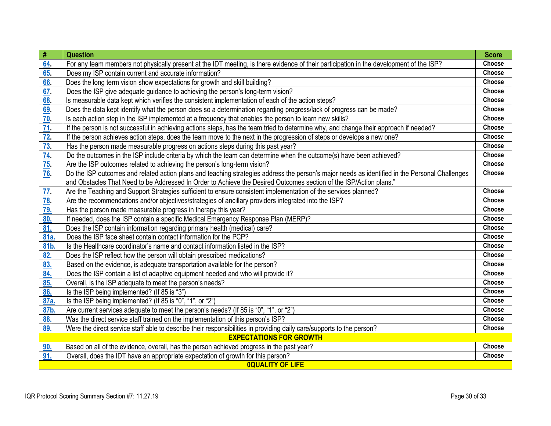| #         | <b>Question</b>                                                                                                                                | <b>Score</b> |
|-----------|------------------------------------------------------------------------------------------------------------------------------------------------|--------------|
| 64        | For any team members not physically present at the IDT meeting, is there evidence of their participation in the development of the ISP?        | Choose       |
| 65        | Does my ISP contain current and accurate information?                                                                                          | Choose       |
| 66        | Does the long term vision show expectations for growth and skill building?                                                                     | Choose       |
| 67.       | Does the ISP give adequate guidance to achieving the person's long-term vision?                                                                | Choose       |
| 68        | Is measurable data kept which verifies the consistent implementation of each of the action steps?                                              | Choose       |
| <u>69</u> | Does the data kept identify what the person does so a determination regarding progress/lack of progress can be made?                           | Choose       |
| 70        | Is each action step in the ISP implemented at a frequency that enables the person to learn new skills?                                         | Choose       |
| 71        | If the person is not successful in achieving actions steps, has the team tried to determine why, and change their approach if needed?          | Choose       |
| 72.       | If the person achieves action steps, does the team move to the next in the progression of steps or develops a new one?                         | Choose       |
| 73        | Has the person made measurable progress on actions steps during this past year?                                                                | Choose       |
| 74        | Do the outcomes in the ISP include criteria by which the team can determine when the outcome(s) have been achieved?                            | Choose       |
| 75.       | Are the ISP outcomes related to achieving the person's long-term vision?                                                                       | Choose       |
| <u>76</u> | Do the ISP outcomes and related action plans and teaching strategies address the person's major needs as identified in the Personal Challenges | Choose       |
|           | and Obstacles That Need to be Addressed In Order to Achieve the Desired Outcomes section of the ISP/Action plans."                             |              |
| 77.       | Are the Teaching and Support Strategies sufficient to ensure consistent implementation of the services planned?                                | Choose       |
| 78.       | Are the recommendations and/or objectives/strategies of ancillary providers integrated into the ISP?                                           | Choose       |
| 79.       | Has the person made measurable progress in therapy this year?                                                                                  | Choose       |
| 80.       | If needed, does the ISP contain a specific Medical Emergency Response Plan (MERP)?                                                             | Choose       |
| 81.       | Does the ISP contain information regarding primary health (medical) care?                                                                      | Choose       |
| 81a.      | Does the ISP face sheet contain contact information for the PCP?                                                                               | Choose       |
| 81b.      | Is the Healthcare coordinator's name and contact information listed in the ISP?                                                                | Choose       |
| 82.       | Does the ISP reflect how the person will obtain prescribed medications?                                                                        | Choose       |
| 83.       | Based on the evidence, is adequate transportation available for the person?                                                                    | Choose       |
| 84.       | Does the ISP contain a list of adaptive equipment needed and who will provide it?                                                              | Choose       |
| 85.       | Overall, is the ISP adequate to meet the person's needs?                                                                                       | Choose       |
| 86.       | Is the ISP being implemented? (If 85 is "3")                                                                                                   | Choose       |
| 87a.      | Is the ISP being implemented? (If 85 is "0", "1", or "2")                                                                                      | Choose       |
| 87b.      | Are current services adequate to meet the person's needs? (If 85 is "0", "1", or "2")                                                          | Choose       |
| 88.       | Was the direct service staff trained on the implementation of this person's ISP?                                                               | Choose       |
| 89.       | Were the direct service staff able to describe their responsibilities in providing daily care/supports to the person?                          | Choose       |
|           | <b>EXPECTATIONS FOR GROWTH</b>                                                                                                                 |              |
| 90.       | Based on all of the evidence, overall, has the person achieved progress in the past year?                                                      | Choose       |
| 91.       | Overall, does the IDT have an appropriate expectation of growth for this person?                                                               | Choose       |
|           | <b>OQUALITY OF LIFE</b>                                                                                                                        |              |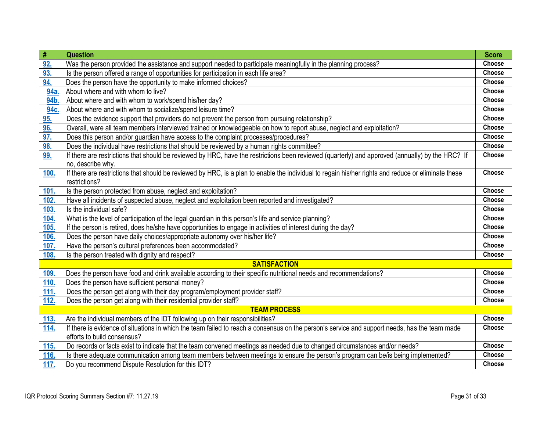| #           | <b>Question</b>                                                                                                                                     | <b>Score</b>  |
|-------------|-----------------------------------------------------------------------------------------------------------------------------------------------------|---------------|
| 92.         | Was the person provided the assistance and support needed to participate meaningfully in the planning process?                                      | Choose        |
| 93.         | Is the person offered a range of opportunities for participation in each life area?                                                                 | Choose        |
| 94.         | Does the person have the opportunity to make informed choices?                                                                                      | Choose        |
| 94a         | About where and with whom to live?                                                                                                                  | Choose        |
| 94b.        | About where and with whom to work/spend his/her day?                                                                                                | Choose        |
| 94c.        | About where and with whom to socialize/spend leisure time?                                                                                          | Choose        |
| 95.         | Does the evidence support that providers do not prevent the person from pursuing relationship?                                                      | Choose        |
| 96.         | Overall, were all team members interviewed trained or knowledgeable on how to report abuse, neglect and exploitation?                               | Choose        |
| 97.         | Does this person and/or guardian have access to the complaint processes/procedures?                                                                 | Choose        |
| 98.         | Does the individual have restrictions that should be reviewed by a human rights committee?                                                          | Choose        |
| 99.         | If there are restrictions that should be reviewed by HRC, have the restrictions been reviewed (quarterly) and approved (annually) by the HRC? If    | Choose        |
|             | no, describe why.                                                                                                                                   |               |
| <u>100.</u> | If there are restrictions that should be reviewed by HRC, is a plan to enable the individual to regain his/her rights and reduce or eliminate these | Choose        |
|             | restrictions?                                                                                                                                       |               |
| 101.        | Is the person protected from abuse, neglect and exploitation?                                                                                       | <b>Choose</b> |
| 102.        | Have all incidents of suspected abuse, neglect and exploitation been reported and investigated?                                                     | Choose        |
| 103.        | Is the individual safe?                                                                                                                             | Choose        |
| 104.        | What is the level of participation of the legal guardian in this person's life and service planning?                                                | Choose        |
| 105.        | If the person is retired, does he/she have opportunities to engage in activities of interest during the day?                                        | Choose        |
| 106.        | Does the person have daily choices/appropriate autonomy over his/her life?                                                                          | Choose        |
| 107.        | Have the person's cultural preferences been accommodated?                                                                                           | Choose        |
| 108.        | Is the person treated with dignity and respect?                                                                                                     | Choose        |
|             | <b>SATISFACTION</b>                                                                                                                                 |               |
| 109.        | Does the person have food and drink available according to their specific nutritional needs and recommendations?                                    | Choose        |
| 110.        | Does the person have sufficient personal money?                                                                                                     | Choose        |
| 111.        | Does the person get along with their day program/employment provider staff?                                                                         | Choose        |
| 112.        | Does the person get along with their residential provider staff?                                                                                    | Choose        |
|             | <b>TEAM PROCESS</b>                                                                                                                                 |               |
| <u>113.</u> | Are the individual members of the IDT following up on their responsibilities?                                                                       | Choose        |
| <b>114.</b> | If there is evidence of situations in which the team failed to reach a consensus on the person's service and support needs, has the team made       | Choose        |
|             | efforts to build consensus?                                                                                                                         |               |
| <b>115.</b> | Do records or facts exist to indicate that the team convened meetings as needed due to changed circumstances and/or needs?                          | Choose        |
| 116.        | Is there adequate communication among team members between meetings to ensure the person's program can be/is being implemented?                     | Choose        |
| 117.        | Do you recommend Dispute Resolution for this IDT?                                                                                                   | Choose        |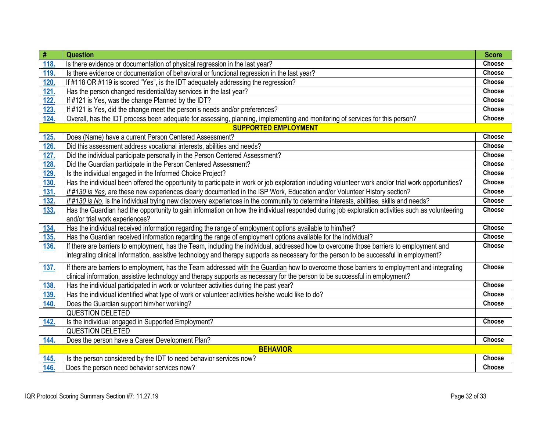| $\#$ | <b>Question</b>                                                                                                                                     | <b>Score</b> |
|------|-----------------------------------------------------------------------------------------------------------------------------------------------------|--------------|
| 118. | Is there evidence or documentation of physical regression in the last year?                                                                         | Choose       |
| 119. | Is there evidence or documentation of behavioral or functional regression in the last year?                                                         | Choose       |
| 120. | If #118 OR #119 is scored "Yes", is the IDT adequately addressing the regression?                                                                   | Choose       |
| 121. | Has the person changed residential/day services in the last year?                                                                                   | Choose       |
| 122. | If #121 is Yes, was the change Planned by the IDT?                                                                                                  | Choose       |
| 123. | If #121 is Yes, did the change meet the person's needs and/or preferences?                                                                          | Choose       |
| 124. | Overall, has the IDT process been adequate for assessing, planning, implementing and monitoring of services for this person?                        | Choose       |
|      | <b>SUPPORTED EMPLOYMENT</b>                                                                                                                         |              |
| 125. | Does (Name) have a current Person Centered Assessment?                                                                                              | Choose       |
| 126. | Did this assessment address vocational interests, abilities and needs?                                                                              | Choose       |
| 127. | Did the individual participate personally in the Person Centered Assessment?                                                                        | Choose       |
| 128. | Did the Guardian participate in the Person Centered Assessment?                                                                                     | Choose       |
| 129. | Is the individual engaged in the Informed Choice Project?                                                                                           | Choose       |
| 130. | Has the individual been offered the opportunity to participate in work or job exploration including volunteer work and/or trial work opportunities? | Choose       |
| 131. | If #130 is Yes, are these new experiences clearly documented in the ISP Work, Education and/or Volunteer History section?                           | Choose       |
| 132. | If #130 is No, is the individual trying new discovery experiences in the community to determine interests, abilities, skills and needs?             | Choose       |
| 133. | Has the Guardian had the opportunity to gain information on how the individual responded during job exploration activities such as volunteering     | Choose       |
|      | and/or trial work experiences?                                                                                                                      |              |
| 134. | Has the individual received information regarding the range of employment options available to him/her?                                             | Choose       |
| 135. | Has the Guardian received information regarding the range of employment options available for the individual?                                       | Choose       |
| 136. | If there are barriers to employment, has the Team, including the individual, addressed how to overcome those barriers to employment and             | Choose       |
|      | integrating clinical information, assistive technology and therapy supports as necessary for the person to be successful in employment?             |              |
| 137. | If there are barriers to employment, has the Team addressed with the Guardian how to overcome those barriers to employment and integrating          | Choose       |
|      | clinical information, assistive technology and therapy supports as necessary for the person to be successful in employment?                         |              |
| 138. | Has the individual participated in work or volunteer activities during the past year?                                                               | Choose       |
| 139. | Has the individual identified what type of work or volunteer activities he/she would like to do?                                                    | Choose       |
| 140. | Does the Guardian support him/her working?                                                                                                          | Choose       |
|      | <b>QUESTION DELETED</b>                                                                                                                             |              |
| 142. | Is the individual engaged in Supported Employment?                                                                                                  | Choose       |
|      | <b>QUESTION DELETED</b>                                                                                                                             |              |
| 144. | Does the person have a Career Development Plan?                                                                                                     | Choose       |
|      | <b>BEHAVIOR</b>                                                                                                                                     |              |
| 145. | Is the person considered by the IDT to need behavior services now?                                                                                  | Choose       |
| 146. | Does the person need behavior services now?                                                                                                         | Choose       |